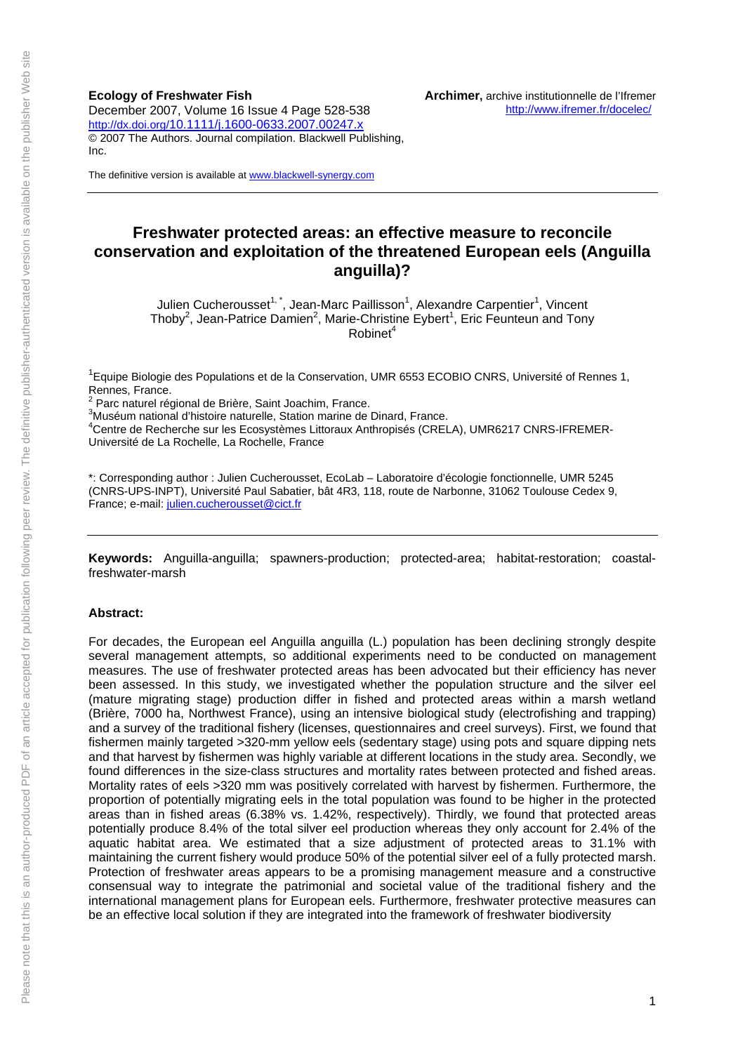**Ecology of Freshwater Fish**  December 2007, Volume 16 Issue 4 Page 528-538 http://dx.doi.org/10.1111/j.1600-0633.2007.00247.x © 2007 The Authors. Journal compilation. Blackwell Publishing, Inc.

The definitive version is available at www.blackwell-synergy.com

## **Freshwater protected areas: an effective measure to reconcile conservation and exploitation of the threatened European eels (Anguilla anguilla)?**

Julien Cucherousset<sup>1,\*</sup>, Jean-Marc Paillisson<sup>1</sup>, Alexandre Carpentier<sup>1</sup>, Vincent Thoby<sup>2</sup>, Jean-Patrice Damien<sup>2</sup>, Marie-Christine Eybert<sup>1</sup>, Eric Feunteun and Tony  $R$ obinet $4$ 

<sup>1</sup> Equipe Biologie des Populations et de la Conservation, UMR 6553 ECOBIO CNRS, Université of Rennes 1, Rennes, France.<br><sup>2</sup> Pers naturel rée

Parc naturel régional de Brière, Saint Joachim, France.

3 Muséum national d'histoire naturelle, Station marine de Dinard, France.

4 Centre de Recherche sur les Ecosystèmes Littoraux Anthropisés (CRELA), UMR6217 CNRS-IFREMER-Université de La Rochelle, La Rochelle, France

\*: Corresponding author : Julien Cucherousset, EcoLab – Laboratoire d'écologie fonctionnelle, UMR 5245 (CNRS-UPS-INPT), Université Paul Sabatier, bât 4R3, 118, route de Narbonne, 31062 Toulouse Cedex 9, France; e-mail: julien.cucherousset@cict.fr

**Keywords:** Anguilla-anguilla; spawners-production; protected-area; habitat-restoration; coastalfreshwater-marsh

#### **Abstract:**

For decades, the European eel Anguilla anguilla (L.) population has been declining strongly despite several management attempts, so additional experiments need to be conducted on management measures. The use of freshwater protected areas has been advocated but their efficiency has never been assessed. In this study, we investigated whether the population structure and the silver eel (mature migrating stage) production differ in fished and protected areas within a marsh wetland (Brière, 7000 ha, Northwest France), using an intensive biological study (electrofishing and trapping) and a survey of the traditional fishery (licenses, questionnaires and creel surveys). First, we found that fishermen mainly targeted >320-mm yellow eels (sedentary stage) using pots and square dipping nets and that harvest by fishermen was highly variable at different locations in the study area. Secondly, we found differences in the size-class structures and mortality rates between protected and fished areas. Mortality rates of eels >320 mm was positively correlated with harvest by fishermen. Furthermore, the proportion of potentially migrating eels in the total population was found to be higher in the protected areas than in fished areas (6.38% vs. 1.42%, respectively). Thirdly, we found that protected areas potentially produce 8.4% of the total silver eel production whereas they only account for 2.4% of the aquatic habitat area. We estimated that a size adjustment of protected areas to 31.1% with maintaining the current fishery would produce 50% of the potential silver eel of a fully protected marsh. Protection of freshwater areas appears to be a promising management measure and a constructive consensual way to integrate the patrimonial and societal value of the traditional fishery and the international management plans for European eels. Furthermore, freshwater protective measures can be an effective local solution if they are integrated into the framework of freshwater biodiversity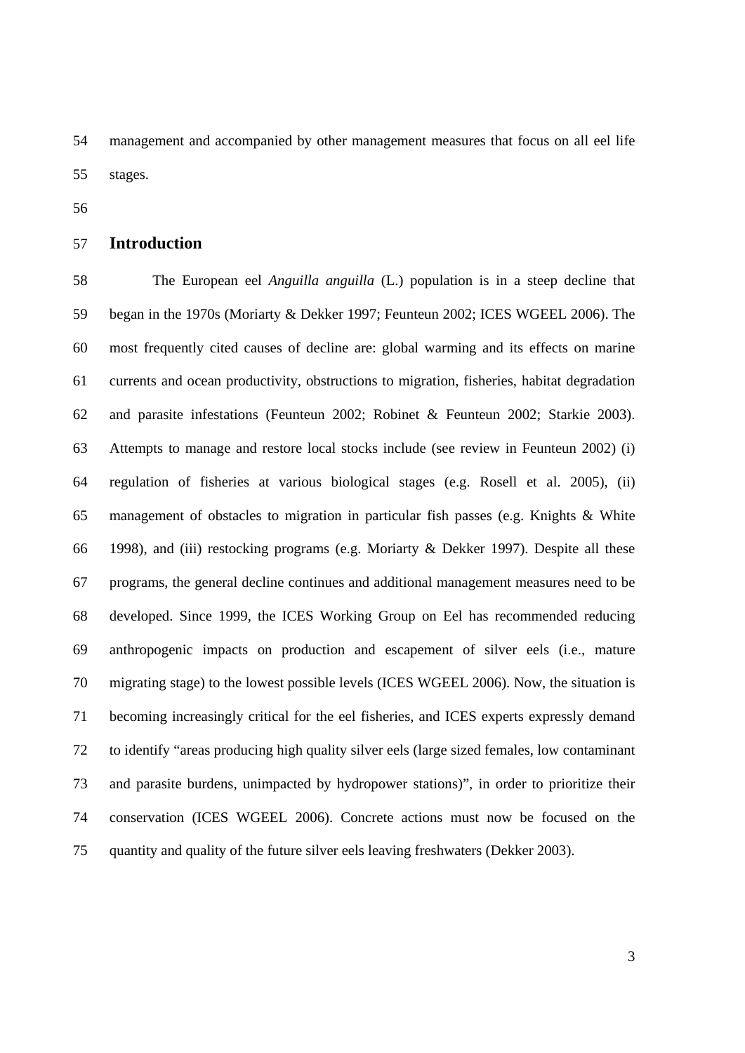54 management and accompanied by other management measures that focus on all eel life 55 stages.

56

## 57 **Introduction**

58 The European eel *Anguilla anguilla* (L.) population is in a steep decline that 59 began in the 1970s (Moriarty & Dekker 1997; Feunteun 2002; ICES WGEEL 2006). The 60 most frequently cited causes of decline are: global warming and its effects on marine 61 currents and ocean productivity, obstructions to migration, fisheries, habitat degradation 62 and parasite infestations (Feunteun 2002; Robinet & Feunteun 2002; Starkie 2003). 63 Attempts to manage and restore local stocks include (see review in Feunteun 2002) (i) 64 regulation of fisheries at various biological stages (e.g. Rosell et al. 2005), (ii) 65 management of obstacles to migration in particular fish passes (e.g. Knights & White 66 1998), and (iii) restocking programs (e.g. Moriarty & Dekker 1997). Despite all these 67 programs, the general decline continues and additional management measures need to be 68 developed. Since 1999, the ICES Working Group on Eel has recommended reducing 69 anthropogenic impacts on production and escapement of silver eels (i.e., mature 70 migrating stage) to the lowest possible levels (ICES WGEEL 2006). Now, the situation is 71 becoming increasingly critical for the eel fisheries, and ICES experts expressly demand 72 to identify "areas producing high quality silver eels (large sized females, low contaminant 73 and parasite burdens, unimpacted by hydropower stations)", in order to prioritize their 74 conservation (ICES WGEEL 2006). Concrete actions must now be focused on the 75 quantity and quality of the future silver eels leaving freshwaters (Dekker 2003).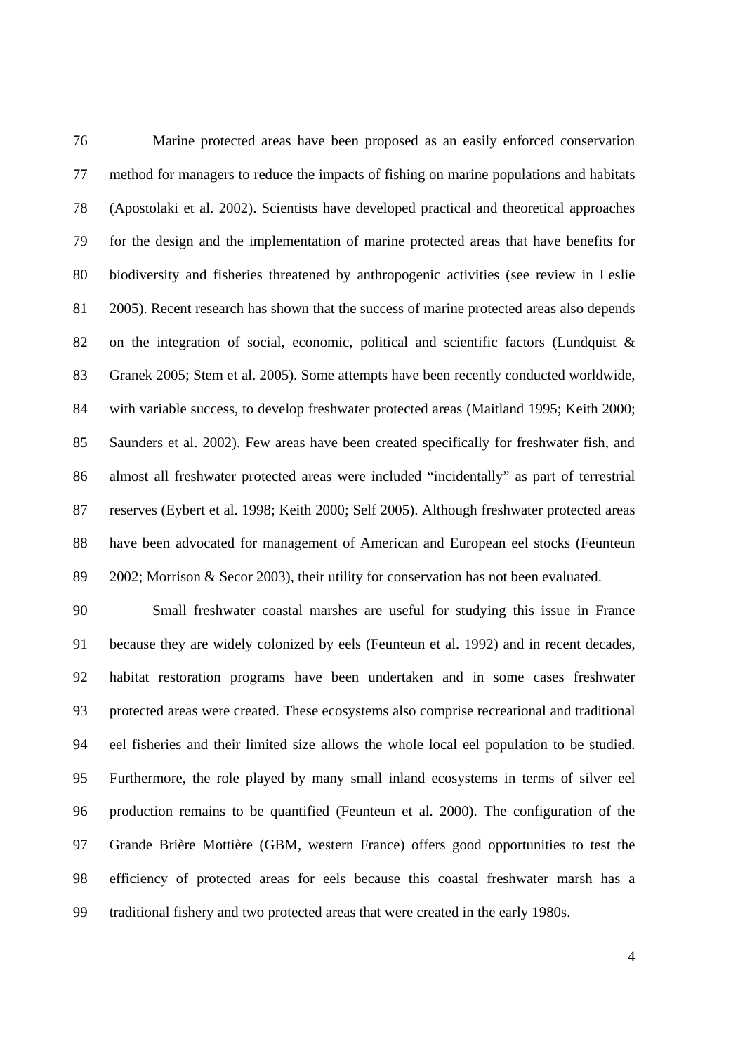76 Marine protected areas have been proposed as an easily enforced conservation 77 method for managers to reduce the impacts of fishing on marine populations and habitats 78 (Apostolaki et al. 2002). Scientists have developed practical and theoretical approaches 79 for the design and the implementation of marine protected areas that have benefits for 80 biodiversity and fisheries threatened by anthropogenic activities (see review in Leslie 81 2005). Recent research has shown that the success of marine protected areas also depends 82 on the integration of social, economic, political and scientific factors (Lundquist & 83 Granek 2005; Stem et al. 2005). Some attempts have been recently conducted worldwide, 84 with variable success, to develop freshwater protected areas (Maitland 1995; Keith 2000; 85 Saunders et al. 2002). Few areas have been created specifically for freshwater fish, and 86 almost all freshwater protected areas were included "incidentally" as part of terrestrial 87 reserves (Eybert et al. 1998; Keith 2000; Self 2005). Although freshwater protected areas 88 have been advocated for management of American and European eel stocks (Feunteun 89 2002; Morrison & Secor 2003), their utility for conservation has not been evaluated.

90 Small freshwater coastal marshes are useful for studying this issue in France 91 because they are widely colonized by eels (Feunteun et al. 1992) and in recent decades, 92 habitat restoration programs have been undertaken and in some cases freshwater 93 protected areas were created. These ecosystems also comprise recreational and traditional 94 eel fisheries and their limited size allows the whole local eel population to be studied. 95 Furthermore, the role played by many small inland ecosystems in terms of silver eel 96 production remains to be quantified (Feunteun et al. 2000). The configuration of the 97 Grande Brière Mottière (GBM, western France) offers good opportunities to test the 98 efficiency of protected areas for eels because this coastal freshwater marsh has a 99 traditional fishery and two protected areas that were created in the early 1980s.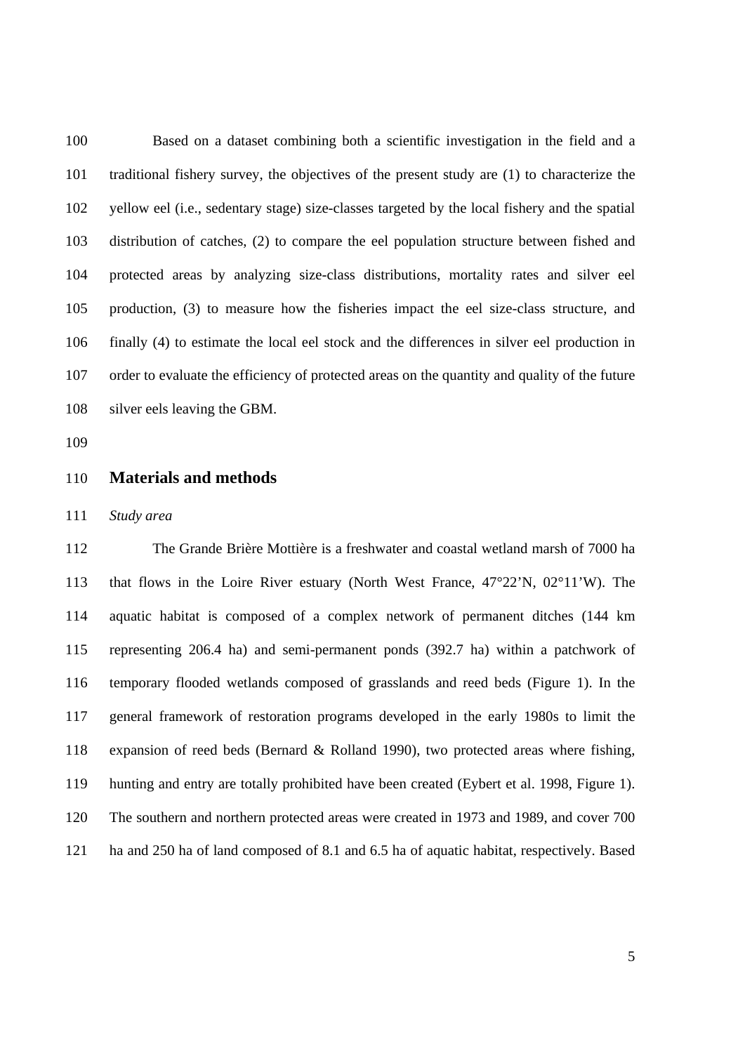100 Based on a dataset combining both a scientific investigation in the field and a 101 traditional fishery survey, the objectives of the present study are (1) to characterize the 102 yellow eel (i.e., sedentary stage) size-classes targeted by the local fishery and the spatial 103 distribution of catches, (2) to compare the eel population structure between fished and 104 protected areas by analyzing size-class distributions, mortality rates and silver eel 105 production, (3) to measure how the fisheries impact the eel size-class structure, and 106 finally (4) to estimate the local eel stock and the differences in silver eel production in 107 order to evaluate the efficiency of protected areas on the quantity and quality of the future 108 silver eels leaving the GBM.

109

#### 110 **Materials and methods**

111 *Study area* 

112 The Grande Brière Mottière is a freshwater and coastal wetland marsh of 7000 ha 113 that flows in the Loire River estuary (North West France, 47°22'N, 02°11'W). The 114 aquatic habitat is composed of a complex network of permanent ditches (144 km 115 representing 206.4 ha) and semi-permanent ponds (392.7 ha) within a patchwork of 116 temporary flooded wetlands composed of grasslands and reed beds (Figure 1). In the 117 general framework of restoration programs developed in the early 1980s to limit the 118 expansion of reed beds (Bernard & Rolland 1990), two protected areas where fishing, 119 hunting and entry are totally prohibited have been created (Eybert et al. 1998, Figure 1). 120 The southern and northern protected areas were created in 1973 and 1989, and cover 700 121 ha and 250 ha of land composed of 8.1 and 6.5 ha of aquatic habitat, respectively. Based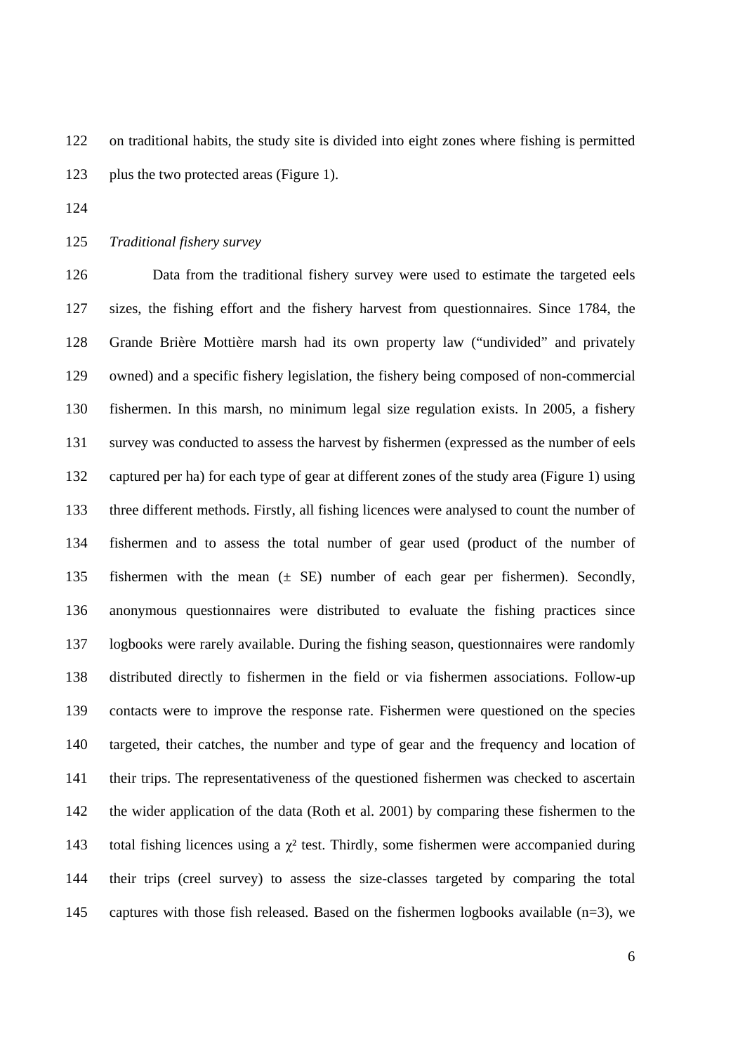122 on traditional habits, the study site is divided into eight zones where fishing is permitted 123 plus the two protected areas (Figure 1).

124

125 *Traditional fishery survey* 

126 Data from the traditional fishery survey were used to estimate the targeted eels 127 sizes, the fishing effort and the fishery harvest from questionnaires. Since 1784, the 128 Grande Brière Mottière marsh had its own property law ("undivided" and privately 129 owned) and a specific fishery legislation, the fishery being composed of non-commercial 130 fishermen. In this marsh, no minimum legal size regulation exists. In 2005, a fishery 131 survey was conducted to assess the harvest by fishermen (expressed as the number of eels 132 captured per ha) for each type of gear at different zones of the study area (Figure 1) using 133 three different methods. Firstly, all fishing licences were analysed to count the number of 134 fishermen and to assess the total number of gear used (product of the number of 135 fishermen with the mean (± SE) number of each gear per fishermen). Secondly, 136 anonymous questionnaires were distributed to evaluate the fishing practices since 137 logbooks were rarely available. During the fishing season, questionnaires were randomly 138 distributed directly to fishermen in the field or via fishermen associations. Follow-up 139 contacts were to improve the response rate. Fishermen were questioned on the species 140 targeted, their catches, the number and type of gear and the frequency and location of 141 their trips. The representativeness of the questioned fishermen was checked to ascertain 142 the wider application of the data (Roth et al. 2001) by comparing these fishermen to the 143 total fishing licences using a  $\gamma^2$  test. Thirdly, some fishermen were accompanied during 144 their trips (creel survey) to assess the size-classes targeted by comparing the total 145 captures with those fish released. Based on the fishermen logbooks available  $(n=3)$ , we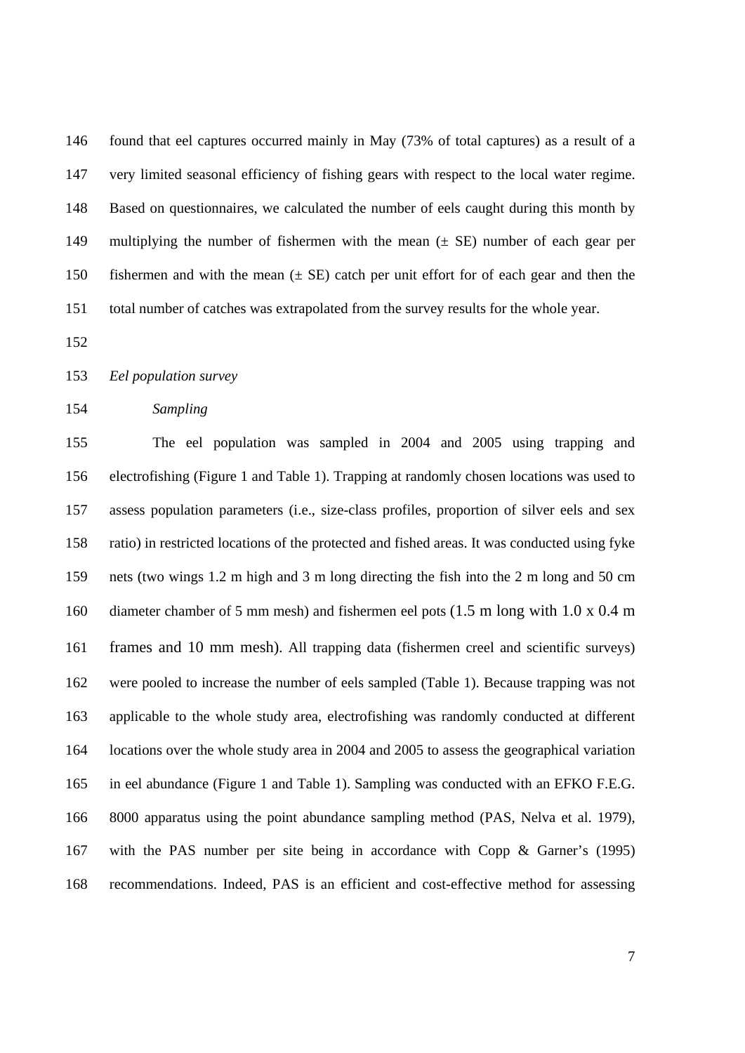146 found that eel captures occurred mainly in May (73% of total captures) as a result of a 147 very limited seasonal efficiency of fishing gears with respect to the local water regime. 148 Based on questionnaires, we calculated the number of eels caught during this month by 149 multiplying the number of fishermen with the mean (± SE) number of each gear per 150 fishermen and with the mean (± SE) catch per unit effort for of each gear and then the 151 total number of catches was extrapolated from the survey results for the whole year.

152

#### 153 *Eel population survey*

#### 154 *Sampling*

155 The eel population was sampled in 2004 and 2005 using trapping and 156 electrofishing (Figure 1 and Table 1). Trapping at randomly chosen locations was used to 157 assess population parameters (i.e., size-class profiles, proportion of silver eels and sex 158 ratio) in restricted locations of the protected and fished areas. It was conducted using fyke 159 nets (two wings 1.2 m high and 3 m long directing the fish into the 2 m long and 50 cm 160 diameter chamber of 5 mm mesh) and fishermen eel pots (1.5 m long with 1.0 x 0.4 m 161 frames and 10 mm mesh). All trapping data (fishermen creel and scientific surveys) 162 were pooled to increase the number of eels sampled (Table 1). Because trapping was not 163 applicable to the whole study area, electrofishing was randomly conducted at different 164 locations over the whole study area in 2004 and 2005 to assess the geographical variation 165 in eel abundance (Figure 1 and Table 1). Sampling was conducted with an EFKO F.E.G. 166 8000 apparatus using the point abundance sampling method (PAS, Nelva et al. 1979), 167 with the PAS number per site being in accordance with Copp & Garner's (1995) 168 recommendations. Indeed, PAS is an efficient and cost-effective method for assessing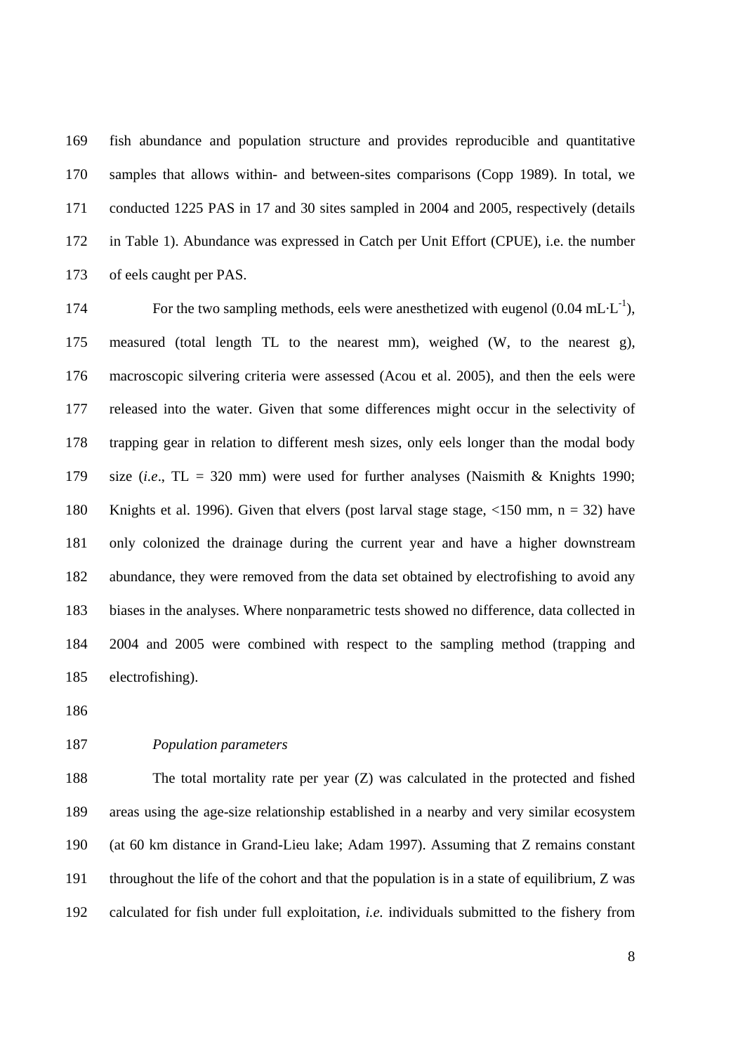169 fish abundance and population structure and provides reproducible and quantitative 170 samples that allows within- and between-sites comparisons (Copp 1989). In total, we 171 conducted 1225 PAS in 17 and 30 sites sampled in 2004 and 2005, respectively (details 172 in Table 1). Abundance was expressed in Catch per Unit Effort (CPUE), i.e. the number 173 of eels caught per PAS.

174 For the two sampling methods, eels were anesthetized with eugenol  $(0.04 \text{ mL} \cdot \text{L}^{-1})$ , 175 measured (total length TL to the nearest mm), weighed (W, to the nearest g), 176 macroscopic silvering criteria were assessed (Acou et al. 2005), and then the eels were 177 released into the water. Given that some differences might occur in the selectivity of 178 trapping gear in relation to different mesh sizes, only eels longer than the modal body 179 size (*i.e*., TL = 320 mm) were used for further analyses (Naismith & Knights 1990; 180 Knights et al. 1996). Given that elvers (post larval stage stage, <150 mm, n = 32) have 181 only colonized the drainage during the current year and have a higher downstream 182 abundance, they were removed from the data set obtained by electrofishing to avoid any 183 biases in the analyses. Where nonparametric tests showed no difference, data collected in 184 2004 and 2005 were combined with respect to the sampling method (trapping and 185 electrofishing).

186

#### 187 *Population parameters*

188 The total mortality rate per year (Z) was calculated in the protected and fished 189 areas using the age-size relationship established in a nearby and very similar ecosystem 190 (at 60 km distance in Grand-Lieu lake; Adam 1997). Assuming that Z remains constant 191 throughout the life of the cohort and that the population is in a state of equilibrium, Z was 192 calculated for fish under full exploitation, *i.e.* individuals submitted to the fishery from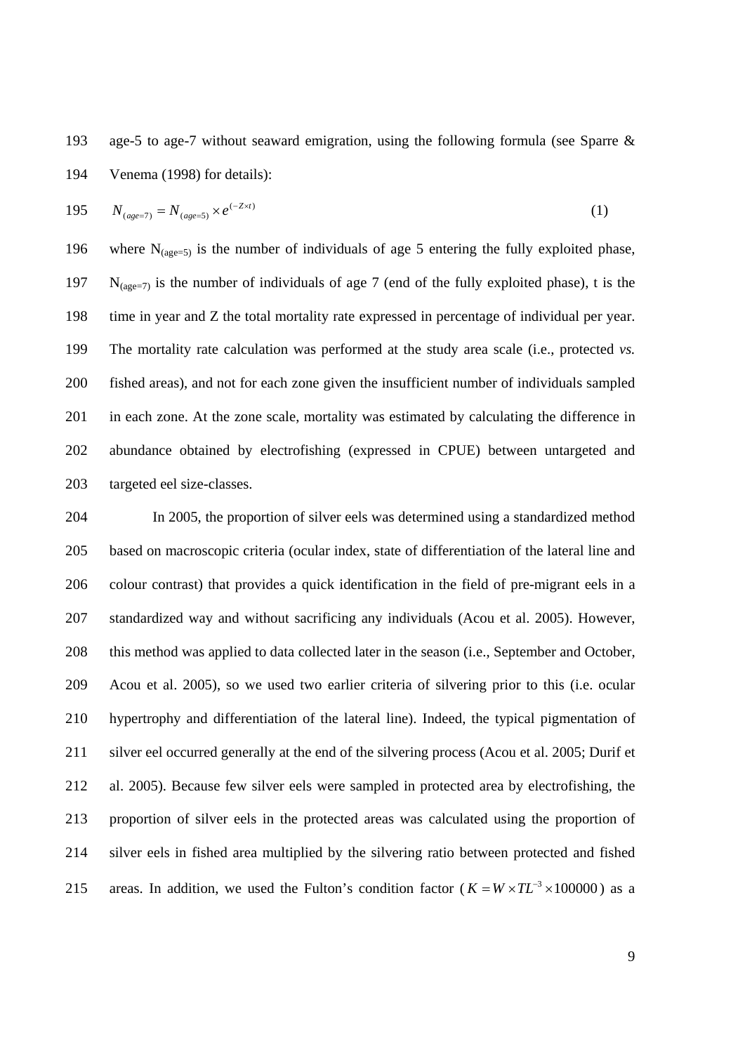193 age-5 to age-7 without seaward emigration, using the following formula (see Sparre & 194 Venema (1998) for details):

195 
$$
N_{(age=7)} = N_{(age=5)} \times e^{(-Z \times t)}
$$
 (1)

196 where  $N_{(age=5)}$  is the number of individuals of age 5 entering the fully exploited phase, 197  $N_{(see=7)}$  is the number of individuals of age 7 (end of the fully exploited phase), t is the 198 time in year and Z the total mortality rate expressed in percentage of individual per year. 199 The mortality rate calculation was performed at the study area scale (i.e., protected *vs.* 200 fished areas), and not for each zone given the insufficient number of individuals sampled 201 in each zone. At the zone scale, mortality was estimated by calculating the difference in 202 abundance obtained by electrofishing (expressed in CPUE) between untargeted and 203 targeted eel size-classes.

204 In 2005, the proportion of silver eels was determined using a standardized method 205 based on macroscopic criteria (ocular index, state of differentiation of the lateral line and 206 colour contrast) that provides a quick identification in the field of pre-migrant eels in a 207 standardized way and without sacrificing any individuals (Acou et al. 2005). However, 208 this method was applied to data collected later in the season (i.e., September and October, 209 Acou et al. 2005), so we used two earlier criteria of silvering prior to this (i.e. ocular 210 hypertrophy and differentiation of the lateral line). Indeed, the typical pigmentation of 211 silver eel occurred generally at the end of the silvering process (Acou et al. 2005; Durif et 212 al. 2005). Because few silver eels were sampled in protected area by electrofishing, the 213 proportion of silver eels in the protected areas was calculated using the proportion of 214 silver eels in fished area multiplied by the silvering ratio between protected and fished areas. In addition, we used the Fulton's condition factor ( $K = W \times TL^{-3} \times 100000$ ) as a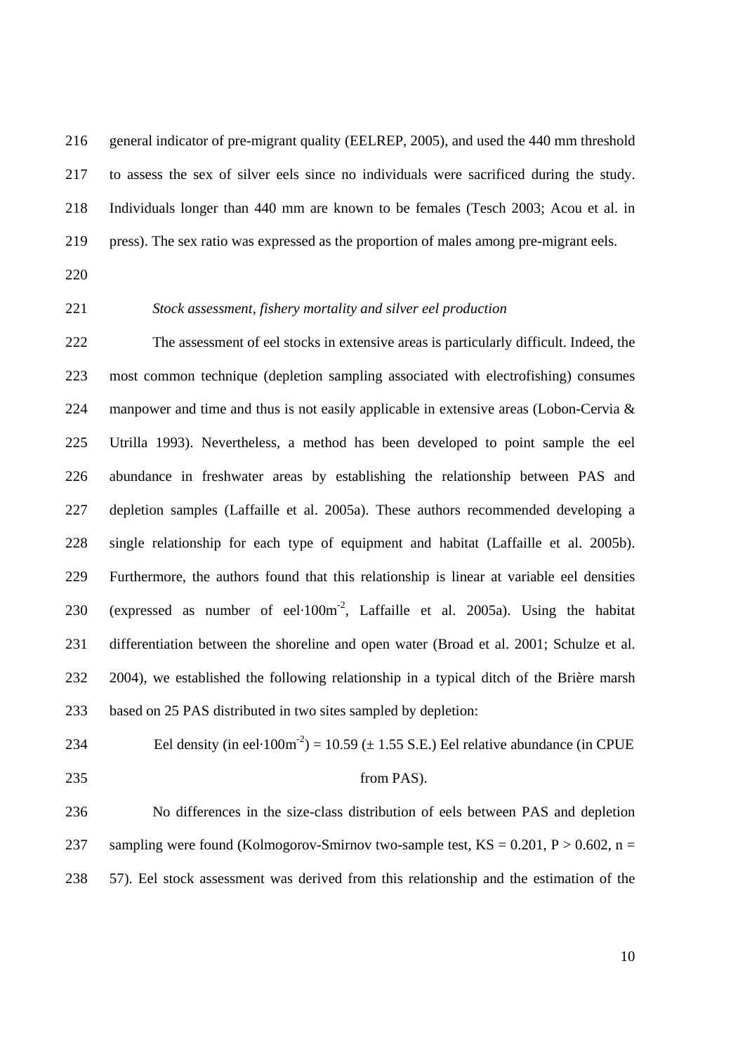216 general indicator of pre-migrant quality (EELREP, 2005), and used the 440 mm threshold 217 to assess the sex of silver eels since no individuals were sacrificed during the study. 218 Individuals longer than 440 mm are known to be females (Tesch 2003; Acou et al. in 219 press). The sex ratio was expressed as the proportion of males among pre-migrant eels.

- 220
- 

### 221 *Stock assessment, fishery mortality and silver eel production*

222 The assessment of eel stocks in extensive areas is particularly difficult. Indeed, the 223 most common technique (depletion sampling associated with electrofishing) consumes 224 manpower and time and thus is not easily applicable in extensive areas (Lobon-Cervia & 225 Utrilla 1993). Nevertheless, a method has been developed to point sample the eel 226 abundance in freshwater areas by establishing the relationship between PAS and 227 depletion samples (Laffaille et al. 2005a). These authors recommended developing a 228 single relationship for each type of equipment and habitat (Laffaille et al. 2005b). 229 Furthermore, the authors found that this relationship is linear at variable eel densities 230 (expressed as number of eel $\cdot 100 \text{m}^{-2}$ , Laffaille et al. 2005a). Using the habitat 231 differentiation between the shoreline and open water (Broad et al. 2001; Schulze et al. 232 2004), we established the following relationship in a typical ditch of the Brière marsh 233 based on 25 PAS distributed in two sites sampled by depletion:

- 
- 

# 234 Eel density (in eel·100m<sup>-2</sup>) = 10.59 ( $\pm$  1.55 S.E.) Eel relative abundance (in CPUE 235 from PAS).

236 No differences in the size-class distribution of eels between PAS and depletion 237 sampling were found (Kolmogorov-Smirnov two-sample test,  $KS = 0.201$ ,  $P > 0.602$ , n = 238 57). Eel stock assessment was derived from this relationship and the estimation of the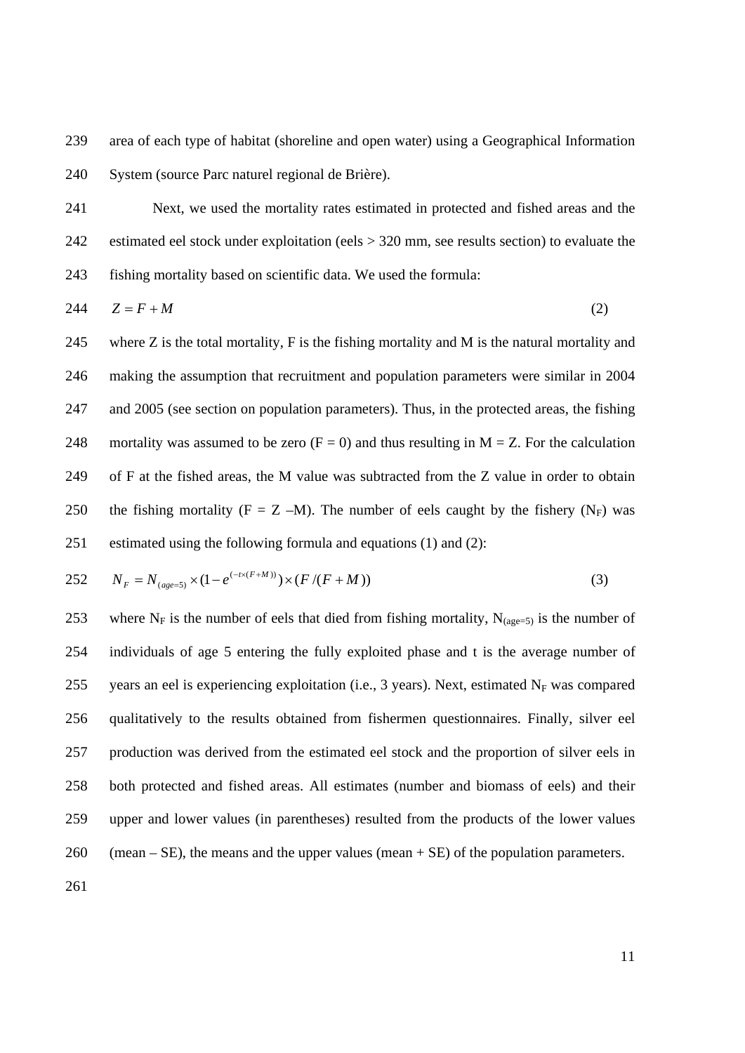239 area of each type of habitat (shoreline and open water) using a Geographical Information 240 System (source Parc naturel regional de Brière).

241 Next, we used the mortality rates estimated in protected and fished areas and the 242 estimated eel stock under exploitation (eels > 320 mm, see results section) to evaluate the 243 fishing mortality based on scientific data. We used the formula:

$$
244 \t Z = F + M \t (2)
$$

245 where Z is the total mortality, F is the fishing mortality and M is the natural mortality and 246 making the assumption that recruitment and population parameters were similar in 2004 247 and 2005 (see section on population parameters). Thus, in the protected areas, the fishing 248 mortality was assumed to be zero  $(F = 0)$  and thus resulting in M = Z. For the calculation 249 of F at the fished areas, the M value was subtracted from the Z value in order to obtain 250 the fishing mortality (F = Z –M). The number of eels caught by the fishery (N<sub>F</sub>) was 251 estimated using the following formula and equations (1) and (2):

252 
$$
N_F = N_{(age=5)} \times (1 - e^{(-t \times (F+M))}) \times (F/(F+M))
$$
 (3)

253 where N<sub>F</sub> is the number of eels that died from fishing mortality, N<sub>(age=5)</sub> is the number of 254 individuals of age 5 entering the fully exploited phase and t is the average number of 255 years an eel is experiencing exploitation (i.e., 3 years). Next, estimated  $N_F$  was compared 256 qualitatively to the results obtained from fishermen questionnaires. Finally, silver eel 257 production was derived from the estimated eel stock and the proportion of silver eels in 258 both protected and fished areas. All estimates (number and biomass of eels) and their 259 upper and lower values (in parentheses) resulted from the products of the lower values 260 (mean – SE), the means and the upper values (mean  $+$  SE) of the population parameters.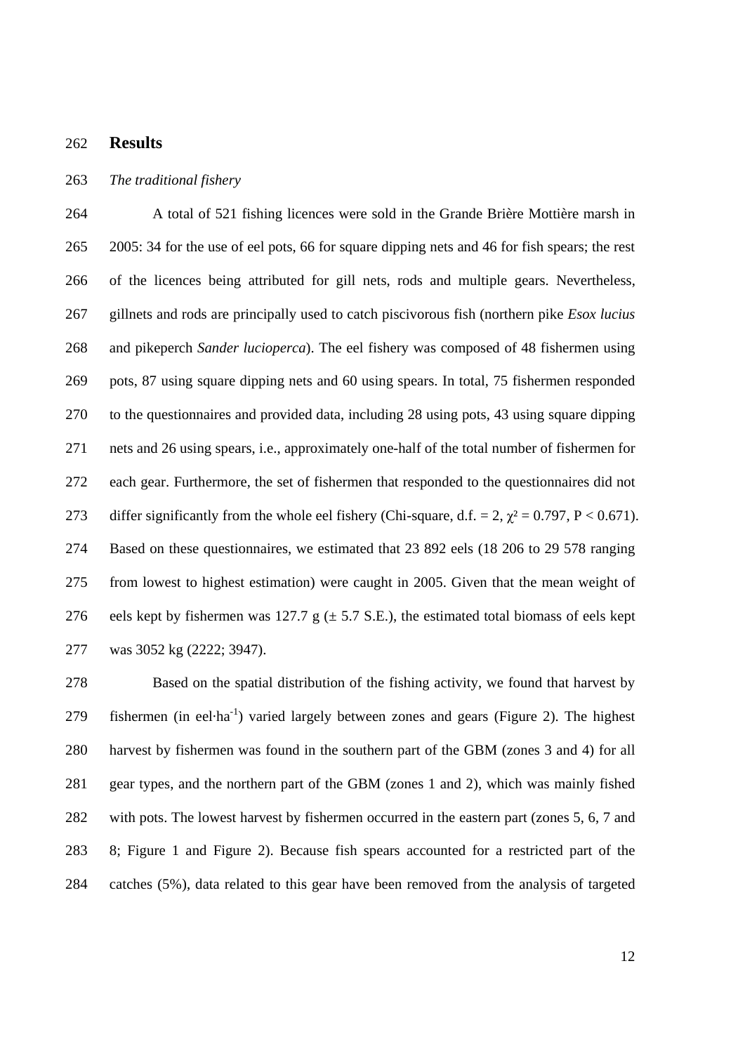#### 262 **Results**

#### 263 *The traditional fishery*

264 A total of 521 fishing licences were sold in the Grande Brière Mottière marsh in 265 2005: 34 for the use of eel pots, 66 for square dipping nets and 46 for fish spears; the rest 266 of the licences being attributed for gill nets, rods and multiple gears. Nevertheless, 267 gillnets and rods are principally used to catch piscivorous fish (northern pike *Esox lucius* 268 and pikeperch *Sander lucioperca*). The eel fishery was composed of 48 fishermen using 269 pots, 87 using square dipping nets and 60 using spears. In total, 75 fishermen responded 270 to the questionnaires and provided data, including 28 using pots, 43 using square dipping 271 nets and 26 using spears, i.e., approximately one-half of the total number of fishermen for 272 each gear. Furthermore, the set of fishermen that responded to the questionnaires did not 273 differ significantly from the whole eel fishery (Chi-square, d.f. = 2,  $\chi^2$  = 0.797, P < 0.671). 274 Based on these questionnaires, we estimated that 23 892 eels (18 206 to 29 578 ranging 275 from lowest to highest estimation) were caught in 2005. Given that the mean weight of 276 eels kept by fishermen was 127.7 g  $(\pm 5.7 \text{ S.E.})$ , the estimated total biomass of eels kept 277 was 3052 kg (2222; 3947).

278 Based on the spatial distribution of the fishing activity, we found that harvest by 279 fishermen (in eel·ha<sup>-1</sup>) varied largely between zones and gears (Figure 2). The highest 280 harvest by fishermen was found in the southern part of the GBM (zones 3 and 4) for all 281 gear types, and the northern part of the GBM (zones 1 and 2), which was mainly fished 282 with pots. The lowest harvest by fishermen occurred in the eastern part (zones 5, 6, 7 and 283 8; Figure 1 and Figure 2). Because fish spears accounted for a restricted part of the 284 catches (5%), data related to this gear have been removed from the analysis of targeted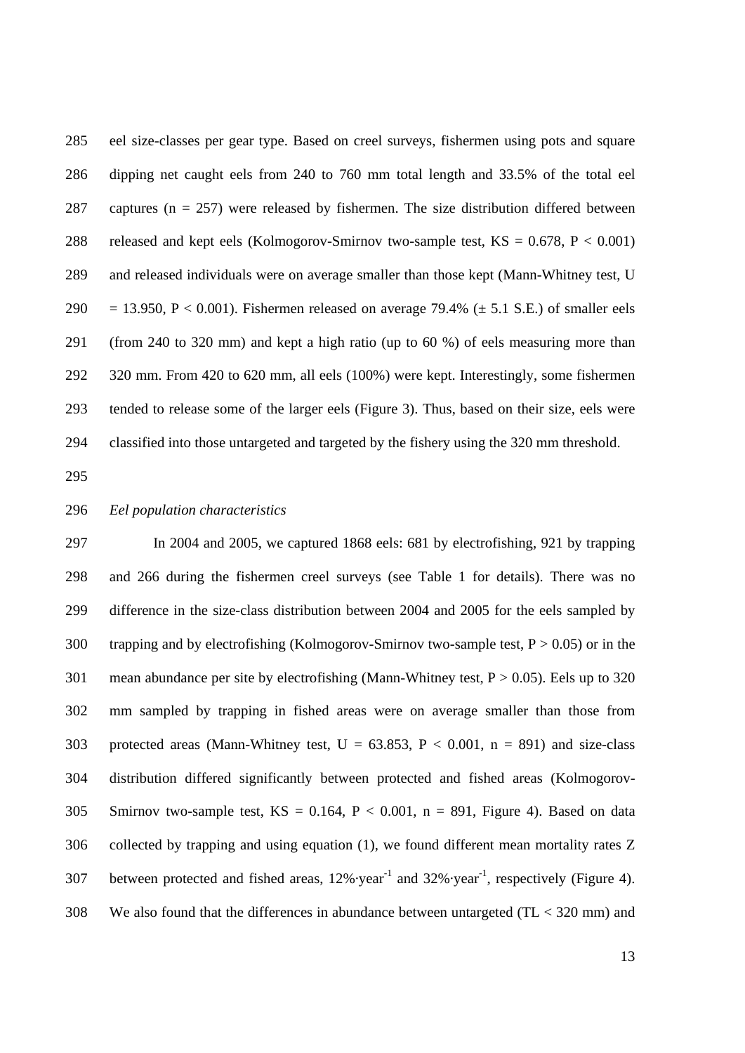285 eel size-classes per gear type. Based on creel surveys, fishermen using pots and square 286 dipping net caught eels from 240 to 760 mm total length and 33.5% of the total eel 287 captures ( $n = 257$ ) were released by fishermen. The size distribution differed between 288 released and kept eels (Kolmogorov-Smirnov two-sample test,  $KS = 0.678$ ,  $P < 0.001$ ) 289 and released individuals were on average smaller than those kept (Mann-Whitney test, U 290 = 13.950, P < 0.001). Fishermen released on average 79.4% ( $\pm$  5.1 S.E.) of smaller eels 291 (from 240 to 320 mm) and kept a high ratio (up to 60 %) of eels measuring more than 292 320 mm. From 420 to 620 mm, all eels (100%) were kept. Interestingly, some fishermen 293 tended to release some of the larger eels (Figure 3). Thus, based on their size, eels were 294 classified into those untargeted and targeted by the fishery using the 320 mm threshold.

295

#### 296 *Eel population characteristics*

297 In 2004 and 2005, we captured 1868 eels: 681 by electrofishing, 921 by trapping 298 and 266 during the fishermen creel surveys (see Table 1 for details). There was no 299 difference in the size-class distribution between 2004 and 2005 for the eels sampled by 300 trapping and by electrofishing (Kolmogorov-Smirnov two-sample test,  $P > 0.05$ ) or in the 301 mean abundance per site by electrofishing (Mann-Whitney test,  $P > 0.05$ ). Eels up to 320 302 mm sampled by trapping in fished areas were on average smaller than those from 303 protected areas (Mann-Whitney test,  $U = 63.853$ ,  $P < 0.001$ ,  $n = 891$ ) and size-class 304 distribution differed significantly between protected and fished areas (Kolmogorov-305 Smirnov two-sample test,  $KS = 0.164$ ,  $P < 0.001$ ,  $n = 891$ , Figure 4). Based on data 306 collected by trapping and using equation (1), we found different mean mortality rates Z 307 between protected and fished areas,  $12\% \cdot year^{-1}$  and  $32\% \cdot year^{-1}$ , respectively (Figure 4). 308 We also found that the differences in abundance between untargeted (TL < 320 mm) and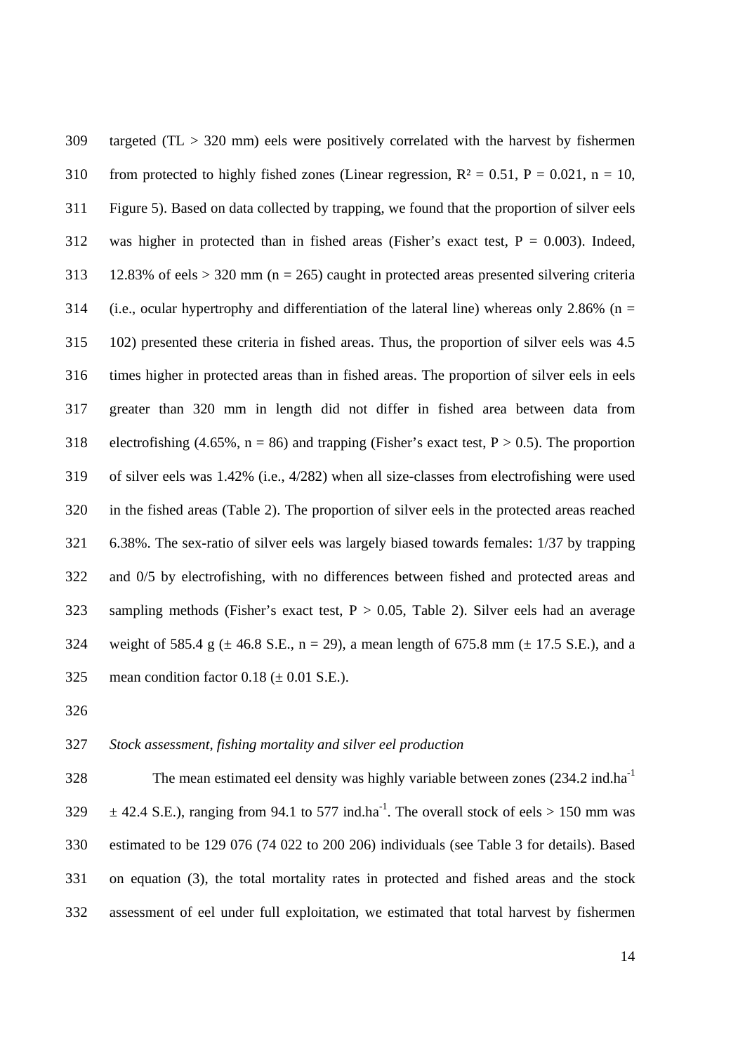309 targeted (TL > 320 mm) eels were positively correlated with the harvest by fishermen 310 from protected to highly fished zones (Linear regression,  $R^2 = 0.51$ ,  $P = 0.021$ ,  $n = 10$ , 311 Figure 5). Based on data collected by trapping, we found that the proportion of silver eels 312 was higher in protected than in fished areas (Fisher's exact test,  $P = 0.003$ ). Indeed, 313 12.83% of eels > 320 mm (n = 265) caught in protected areas presented silvering criteria 314 (i.e., ocular hypertrophy and differentiation of the lateral line) whereas only 2.86% ( $n =$ 315 102) presented these criteria in fished areas. Thus, the proportion of silver eels was 4.5 316 times higher in protected areas than in fished areas. The proportion of silver eels in eels 317 greater than 320 mm in length did not differ in fished area between data from 318 electrofishing (4.65%,  $n = 86$ ) and trapping (Fisher's exact test,  $P > 0.5$ ). The proportion 319 of silver eels was 1.42% (i.e., 4/282) when all size-classes from electrofishing were used 320 in the fished areas (Table 2). The proportion of silver eels in the protected areas reached 321 6.38%. The sex-ratio of silver eels was largely biased towards females: 1/37 by trapping 322 and 0/5 by electrofishing, with no differences between fished and protected areas and 323 sampling methods (Fisher's exact test, P > 0.05, Table 2). Silver eels had an average 324 weight of 585.4 g ( $\pm$  46.8 S.E., n = 29), a mean length of 675.8 mm ( $\pm$  17.5 S.E.), and a 325 mean condition factor  $0.18 \ (\pm 0.01 \ \text{S.E.}).$ 

326

#### 327 *Stock assessment, fishing mortality and silver eel production*

The mean estimated eel density was highly variable between zones (234.2 ind.ha-1 328  $\pm 42.4$  S.E.), ranging from 94.1 to 577 ind.ha<sup>-1</sup>. The overall stock of eels > 150 mm was 330 estimated to be 129 076 (74 022 to 200 206) individuals (see Table 3 for details). Based 331 on equation (3), the total mortality rates in protected and fished areas and the stock 332 assessment of eel under full exploitation, we estimated that total harvest by fishermen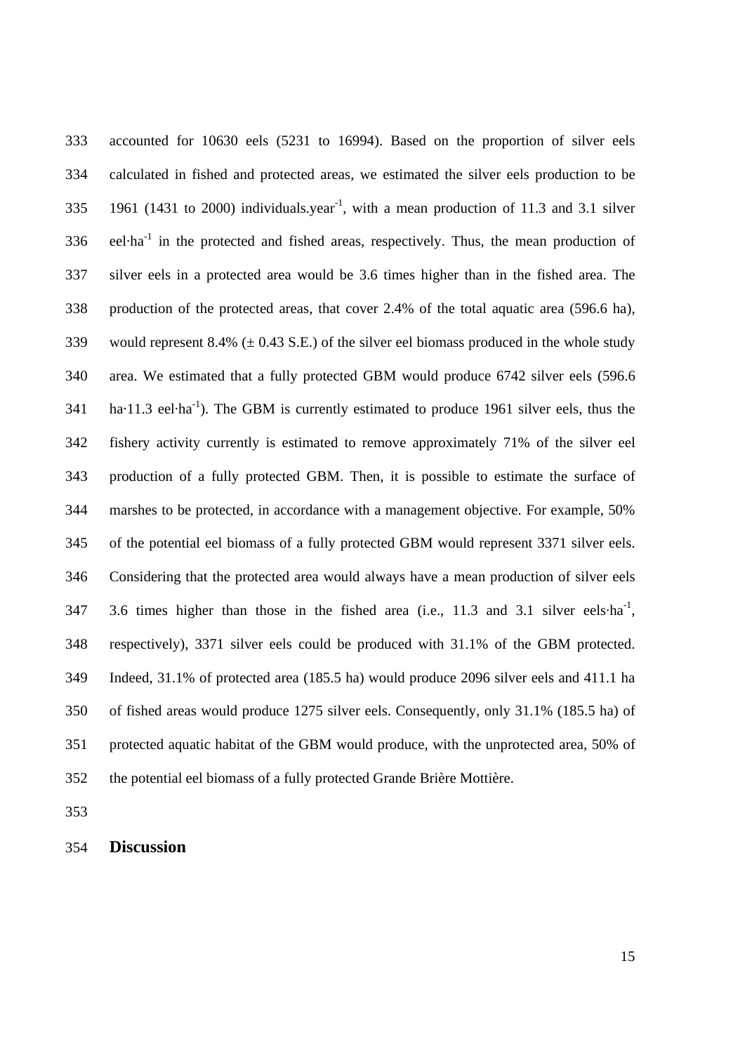333 accounted for 10630 eels (5231 to 16994). Based on the proportion of silver eels 334 calculated in fished and protected areas, we estimated the silver eels production to be 335 1961 (1431 to 2000) individuals.year<sup>-1</sup>, with a mean production of 11.3 and 3.1 silver  $336$  eel·ha<sup>-1</sup> in the protected and fished areas, respectively. Thus, the mean production of 337 silver eels in a protected area would be 3.6 times higher than in the fished area. The 338 production of the protected areas, that cover 2.4% of the total aquatic area (596.6 ha), 339 would represent 8.4% ( $\pm$  0.43 S.E.) of the silver eel biomass produced in the whole study 340 area. We estimated that a fully protected GBM would produce 6742 silver eels (596.6  $h_a$ -11.3 eel·ha<sup>-1</sup>). The GBM is currently estimated to produce 1961 silver eels, thus the 342 fishery activity currently is estimated to remove approximately 71% of the silver eel 343 production of a fully protected GBM. Then, it is possible to estimate the surface of 344 marshes to be protected, in accordance with a management objective. For example, 50% 345 of the potential eel biomass of a fully protected GBM would represent 3371 silver eels. 346 Considering that the protected area would always have a mean production of silver eels  $347$  3.6 times higher than those in the fished area (i.e., 11.3 and 3.1 silver eels·ha<sup>-1</sup>, 348 respectively), 3371 silver eels could be produced with 31.1% of the GBM protected. 349 Indeed, 31.1% of protected area (185.5 ha) would produce 2096 silver eels and 411.1 ha 350 of fished areas would produce 1275 silver eels. Consequently, only 31.1% (185.5 ha) of 351 protected aquatic habitat of the GBM would produce, with the unprotected area, 50% of 352 the potential eel biomass of a fully protected Grande Brière Mottière.

353

354 **Discussion**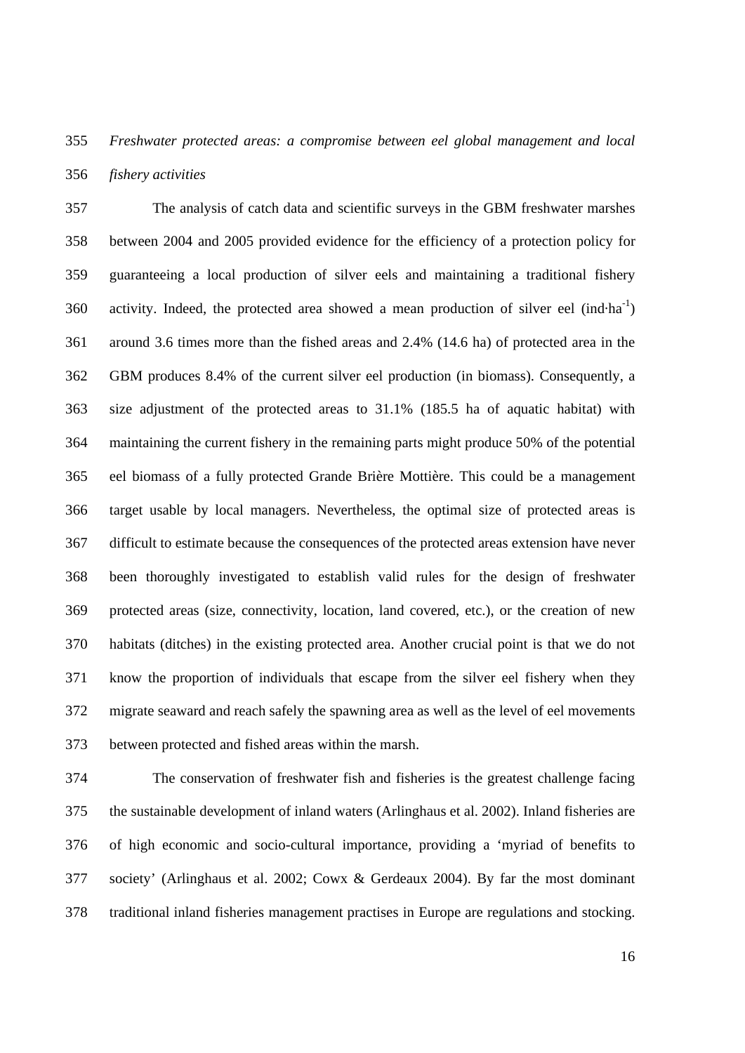## 355 *Freshwater protected areas: a compromise between eel global management and local*  356 *fishery activities*

357 The analysis of catch data and scientific surveys in the GBM freshwater marshes 358 between 2004 and 2005 provided evidence for the efficiency of a protection policy for 359 guaranteeing a local production of silver eels and maintaining a traditional fishery 360 activity. Indeed, the protected area showed a mean production of silver eel (ind-ha<sup>-1</sup>) 361 around 3.6 times more than the fished areas and 2.4% (14.6 ha) of protected area in the 362 GBM produces 8.4% of the current silver eel production (in biomass). Consequently, a 363 size adjustment of the protected areas to 31.1% (185.5 ha of aquatic habitat) with 364 maintaining the current fishery in the remaining parts might produce 50% of the potential 365 eel biomass of a fully protected Grande Brière Mottière. This could be a management 366 target usable by local managers. Nevertheless, the optimal size of protected areas is 367 difficult to estimate because the consequences of the protected areas extension have never 368 been thoroughly investigated to establish valid rules for the design of freshwater 369 protected areas (size, connectivity, location, land covered, etc.), or the creation of new 370 habitats (ditches) in the existing protected area. Another crucial point is that we do not 371 know the proportion of individuals that escape from the silver eel fishery when they 372 migrate seaward and reach safely the spawning area as well as the level of eel movements 373 between protected and fished areas within the marsh.

374 The conservation of freshwater fish and fisheries is the greatest challenge facing 375 the sustainable development of inland waters (Arlinghaus et al. 2002). Inland fisheries are 376 of high economic and socio-cultural importance, providing a 'myriad of benefits to 377 society' (Arlinghaus et al. 2002; Cowx & Gerdeaux 2004). By far the most dominant 378 traditional inland fisheries management practises in Europe are regulations and stocking.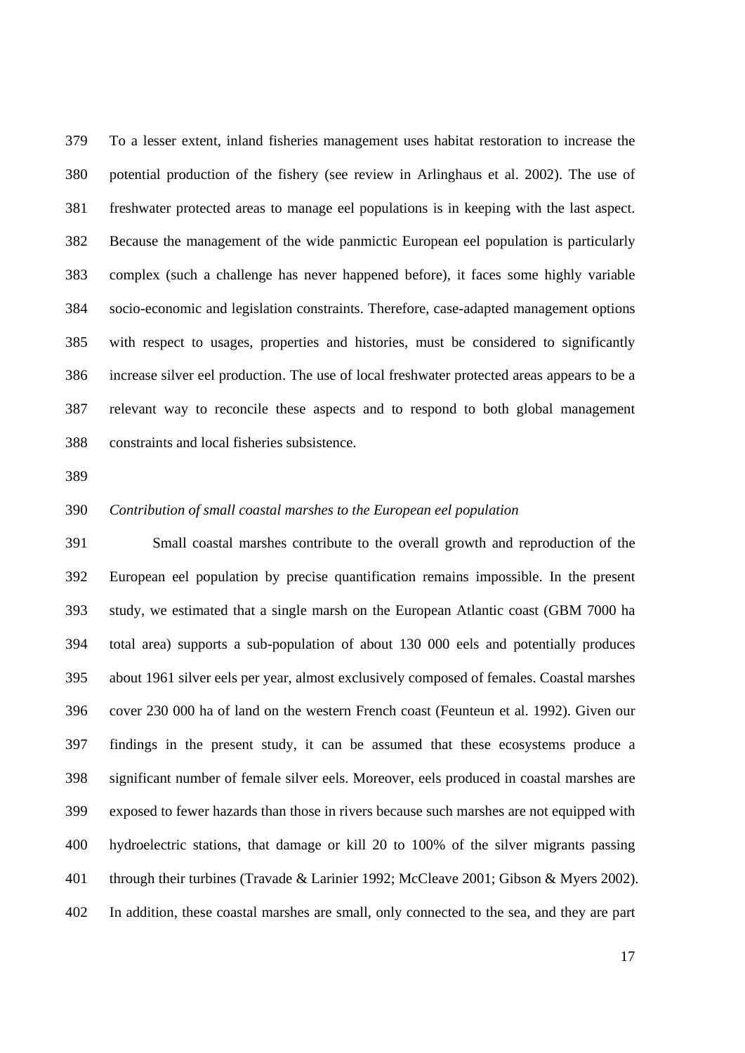379 To a lesser extent, inland fisheries management uses habitat restoration to increase the 380 potential production of the fishery (see review in Arlinghaus et al. 2002). The use of 381 freshwater protected areas to manage eel populations is in keeping with the last aspect. 382 Because the management of the wide panmictic European eel population is particularly 383 complex (such a challenge has never happened before), it faces some highly variable 384 socio-economic and legislation constraints. Therefore, case-adapted management options 385 with respect to usages, properties and histories, must be considered to significantly 386 increase silver eel production. The use of local freshwater protected areas appears to be a 387 relevant way to reconcile these aspects and to respond to both global management 388 constraints and local fisheries subsistence.

389

#### 390 *Contribution of small coastal marshes to the European eel population*

391 Small coastal marshes contribute to the overall growth and reproduction of the 392 European eel population by precise quantification remains impossible. In the present 393 study, we estimated that a single marsh on the European Atlantic coast (GBM 7000 ha 394 total area) supports a sub-population of about 130 000 eels and potentially produces 395 about 1961 silver eels per year, almost exclusively composed of females. Coastal marshes 396 cover 230 000 ha of land on the western French coast (Feunteun et al. 1992). Given our 397 findings in the present study, it can be assumed that these ecosystems produce a 398 significant number of female silver eels. Moreover, eels produced in coastal marshes are 399 exposed to fewer hazards than those in rivers because such marshes are not equipped with 400 hydroelectric stations, that damage or kill 20 to 100% of the silver migrants passing 401 through their turbines (Travade & Larinier 1992; McCleave 2001; Gibson & Myers 2002). 402 In addition, these coastal marshes are small, only connected to the sea, and they are part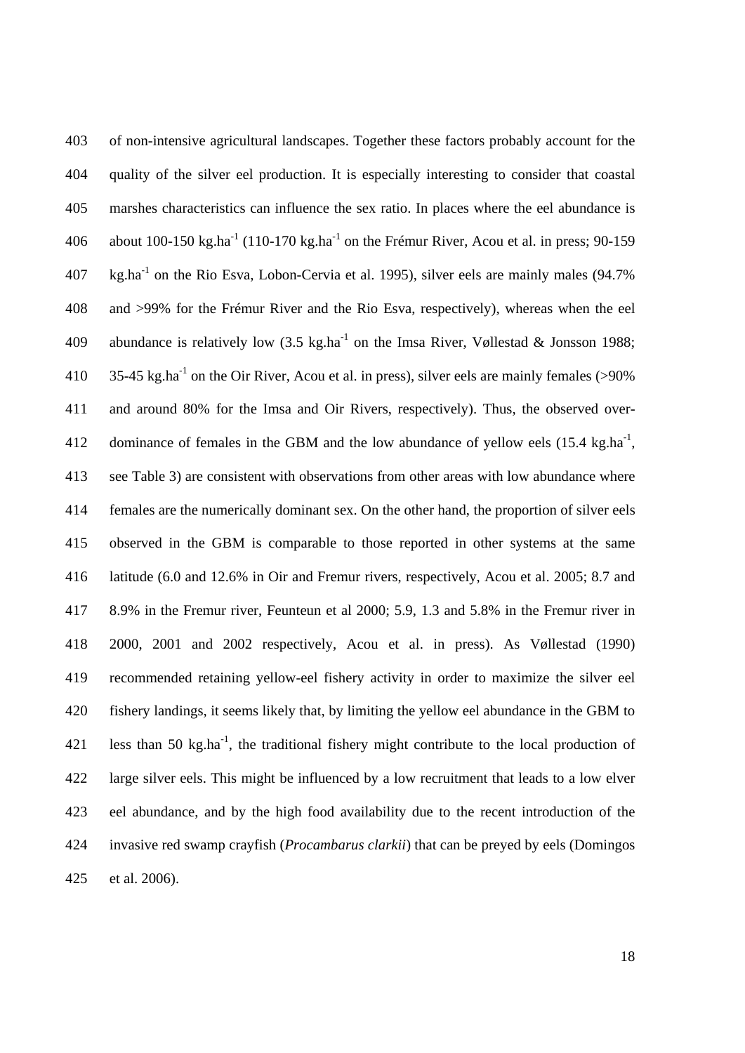403 of non-intensive agricultural landscapes. Together these factors probably account for the 404 quality of the silver eel production. It is especially interesting to consider that coastal 405 marshes characteristics can influence the sex ratio. In places where the eel abundance is 406 about  $100-150 \text{ kg.ha}^{-1}$  (110-170 kg.ha<sup>-1</sup> on the Frémur River, Acou et al. in press; 90-159 407 kg.ha<sup>-1</sup> on the Rio Esva, Lobon-Cervia et al. 1995), silver eels are mainly males (94.7%) 408 and >99% for the Frémur River and the Rio Esva, respectively), whereas when the eel 409 abundance is relatively low  $(3.5 \text{ kg.ha}^{-1} \text{ on the Imsa River}, Vøllestad & Jonsson 1988;$ 410  $35-45$  kg.ha<sup>-1</sup> on the Oir River, Acou et al. in press), silver eels are mainly females (>90%) 411 and around 80% for the Imsa and Oir Rivers, respectively). Thus, the observed over-412 dominance of females in the GBM and the low abundance of yellow eels  $(15.4 \text{ kg.ha}^{-1})$ , 413 see Table 3) are consistent with observations from other areas with low abundance where 414 females are the numerically dominant sex. On the other hand, the proportion of silver eels 415 observed in the GBM is comparable to those reported in other systems at the same 416 latitude (6.0 and 12.6% in Oir and Fremur rivers, respectively, Acou et al. 2005; 8.7 and 417 8.9% in the Fremur river, Feunteun et al 2000; 5.9, 1.3 and 5.8% in the Fremur river in 418 2000, 2001 and 2002 respectively, Acou et al. in press). As Vøllestad (1990) 419 recommended retaining yellow-eel fishery activity in order to maximize the silver eel 420 fishery landings, it seems likely that, by limiting the yellow eel abundance in the GBM to 421 less than 50 kg.ha<sup>-1</sup>, the traditional fishery might contribute to the local production of 422 large silver eels. This might be influenced by a low recruitment that leads to a low elver 423 eel abundance, and by the high food availability due to the recent introduction of the 424 invasive red swamp crayfish (*Procambarus clarkii*) that can be preyed by eels (Domingos 425 et al. 2006).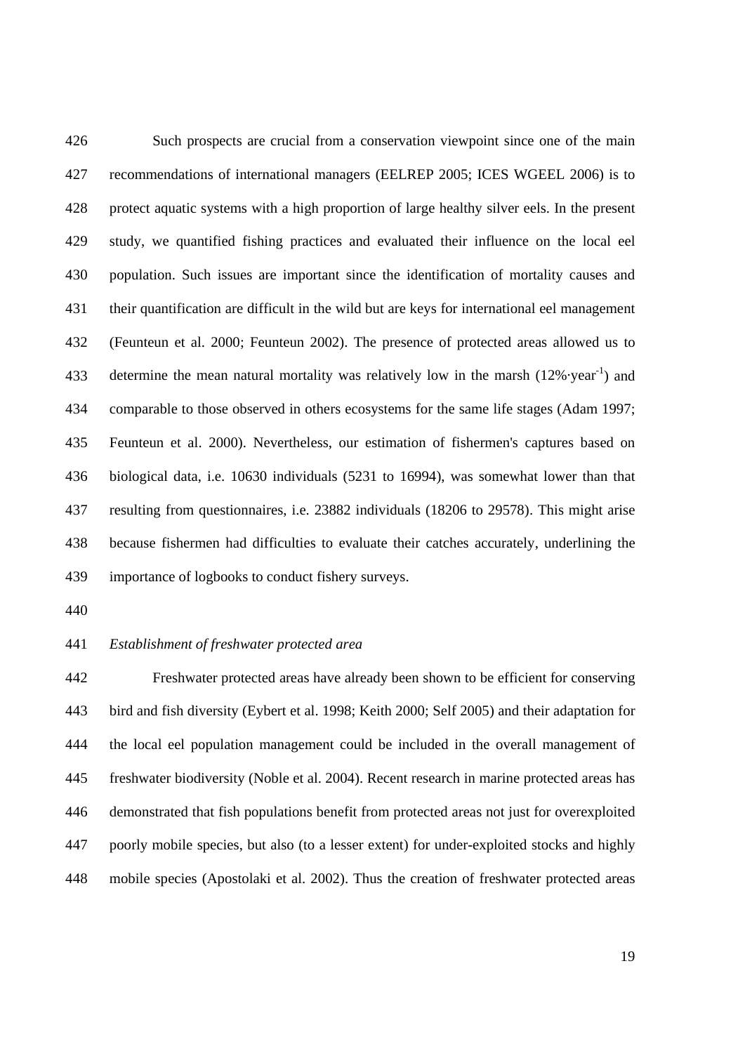426 Such prospects are crucial from a conservation viewpoint since one of the main 427 recommendations of international managers (EELREP 2005; ICES WGEEL 2006) is to 428 protect aquatic systems with a high proportion of large healthy silver eels. In the present 429 study, we quantified fishing practices and evaluated their influence on the local eel 430 population. Such issues are important since the identification of mortality causes and 431 their quantification are difficult in the wild but are keys for international eel management 432 (Feunteun et al. 2000; Feunteun 2002). The presence of protected areas allowed us to 433 determine the mean natural mortality was relatively low in the marsh  $(12\% \cdot year^{-1})$  and 434 comparable to those observed in others ecosystems for the same life stages (Adam 1997; 435 Feunteun et al. 2000). Nevertheless, our estimation of fishermen's captures based on 436 biological data, i.e. 10630 individuals (5231 to 16994), was somewhat lower than that 437 resulting from questionnaires, i.e. 23882 individuals (18206 to 29578). This might arise 438 because fishermen had difficulties to evaluate their catches accurately, underlining the 439 importance of logbooks to conduct fishery surveys.

440

#### 441 *Establishment of freshwater protected area*

442 Freshwater protected areas have already been shown to be efficient for conserving 443 bird and fish diversity (Eybert et al. 1998; Keith 2000; Self 2005) and their adaptation for 444 the local eel population management could be included in the overall management of 445 freshwater biodiversity (Noble et al. 2004). Recent research in marine protected areas has 446 demonstrated that fish populations benefit from protected areas not just for overexploited 447 poorly mobile species, but also (to a lesser extent) for under-exploited stocks and highly 448 mobile species (Apostolaki et al. 2002). Thus the creation of freshwater protected areas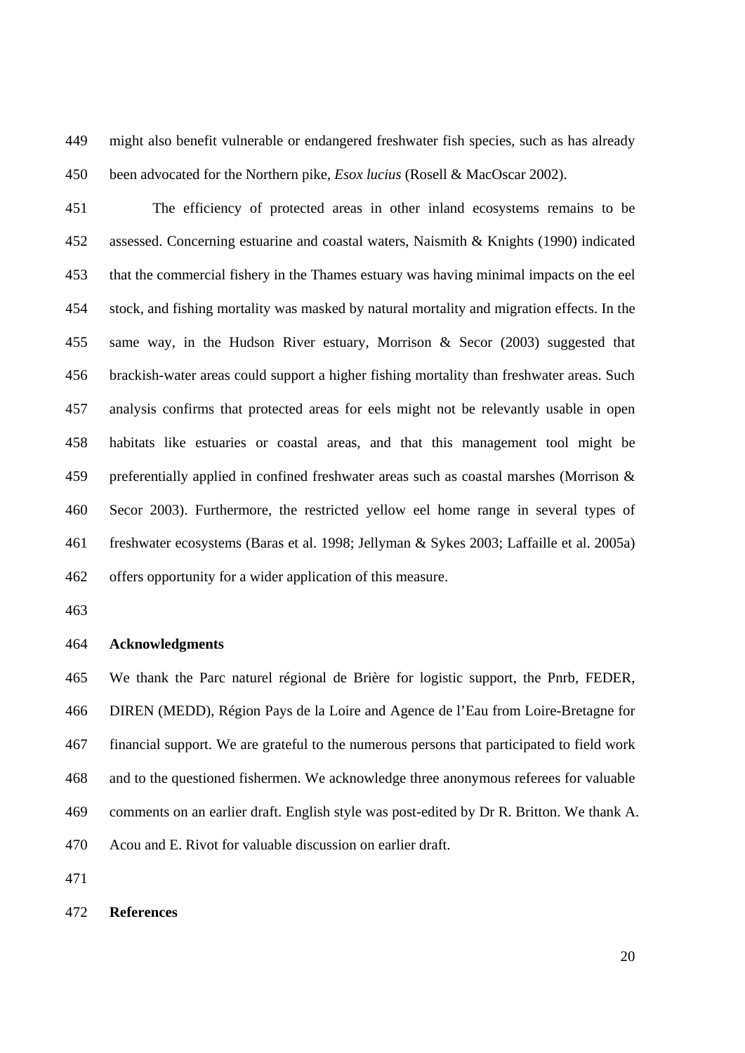449 might also benefit vulnerable or endangered freshwater fish species, such as has already 450 been advocated for the Northern pike, *Esox lucius* (Rosell & MacOscar 2002).

451 The efficiency of protected areas in other inland ecosystems remains to be 452 assessed. Concerning estuarine and coastal waters, Naismith & Knights (1990) indicated 453 that the commercial fishery in the Thames estuary was having minimal impacts on the eel 454 stock, and fishing mortality was masked by natural mortality and migration effects. In the 455 same way, in the Hudson River estuary, Morrison & Secor (2003) suggested that 456 brackish-water areas could support a higher fishing mortality than freshwater areas. Such 457 analysis confirms that protected areas for eels might not be relevantly usable in open 458 habitats like estuaries or coastal areas, and that this management tool might be 459 preferentially applied in confined freshwater areas such as coastal marshes (Morrison & 460 Secor 2003). Furthermore, the restricted yellow eel home range in several types of 461 freshwater ecosystems (Baras et al. 1998; Jellyman & Sykes 2003; Laffaille et al. 2005a) 462 offers opportunity for a wider application of this measure.

463

#### 464 **Acknowledgments**

465 We thank the Parc naturel régional de Brière for logistic support, the Pnrb, FEDER, 466 DIREN (MEDD), Région Pays de la Loire and Agence de l'Eau from Loire-Bretagne for 467 financial support. We are grateful to the numerous persons that participated to field work 468 and to the questioned fishermen. We acknowledge three anonymous referees for valuable 469 comments on an earlier draft. English style was post-edited by Dr R. Britton. We thank A. 470 Acou and E. Rivot for valuable discussion on earlier draft.

471

#### 472 **References**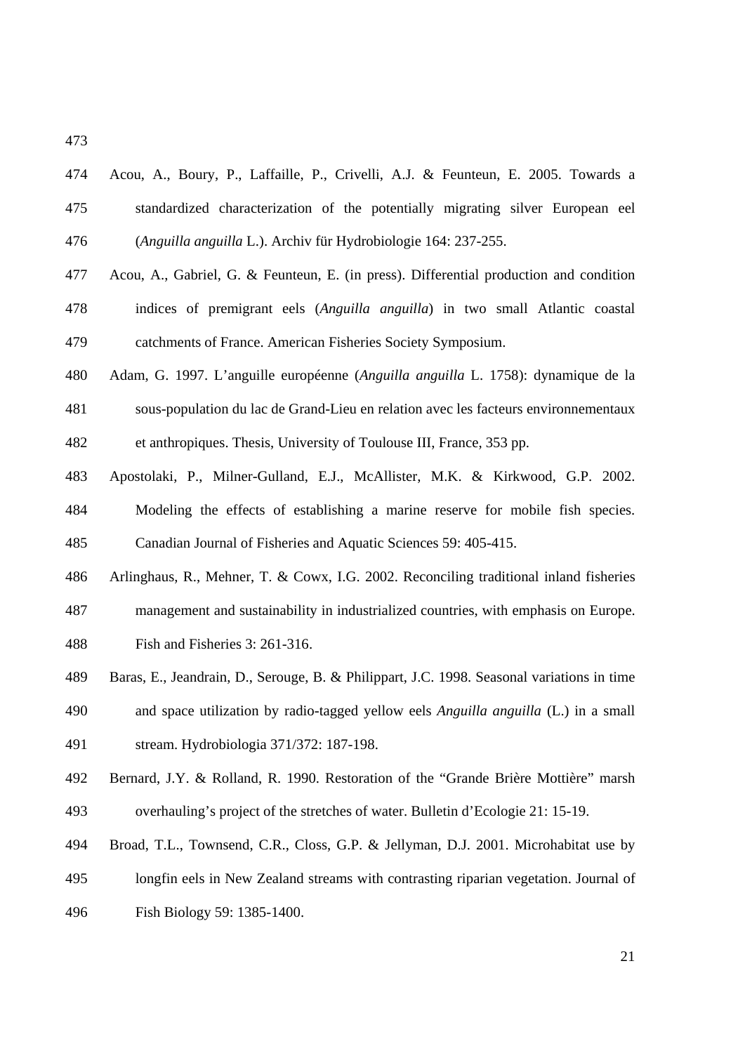473

| 474 | Acou, A., Boury, P., Laffaille, P., Crivelli, A.J. & Feunteun, E. 2005. Towards a      |
|-----|----------------------------------------------------------------------------------------|
| 475 | standardized characterization of the potentially migrating silver European eel         |
| 476 | (Anguilla anguilla L.). Archiv für Hydrobiologie 164: 237-255.                         |
| 477 | Acou, A., Gabriel, G. & Feunteun, E. (in press). Differential production and condition |
| 478 | indices of premigrant eels (Anguilla anguilla) in two small Atlantic coastal           |
| 479 | catchments of France. American Fisheries Society Symposium.                            |
| 480 | Adam, G. 1997. L'anguille européenne (Anguilla anguilla L. 1758): dynamique de la      |
| 481 | sous-population du lac de Grand-Lieu en relation avec les facteurs environnementaux    |
| 482 | et anthropiques. Thesis, University of Toulouse III, France, 353 pp.                   |
| 483 | Apostolaki, P., Milner-Gulland, E.J., McAllister, M.K. & Kirkwood, G.P. 2002.          |
| 484 | Modeling the effects of establishing a marine reserve for mobile fish species.         |
| 485 | Canadian Journal of Fisheries and Aquatic Sciences 59: 405-415.                        |
| 486 | Arlinghaus, R., Mehner, T. & Cowx, I.G. 2002. Reconciling traditional inland fisheries |
| 487 | management and sustainability in industrialized countries, with emphasis on Europe.    |
| 488 | Fish and Fisheries 3: 261-316.                                                         |

- 489 Baras, E., Jeandrain, D., Serouge, B. & Philippart, J.C. 1998. Seasonal variations in time 490 and space utilization by radio-tagged yellow eels *Anguilla anguilla* (L.) in a small 491 stream. Hydrobiologia 371/372: 187-198.
- 492 Bernard, J.Y. & Rolland, R. 1990. Restoration of the "Grande Brière Mottière" marsh 493 overhauling's project of the stretches of water. Bulletin d'Ecologie 21: 15-19.
- 494 Broad, T.L., Townsend, C.R., Closs, G.P. & Jellyman, D.J. 2001. Microhabitat use by
- 495 longfin eels in New Zealand streams with contrasting riparian vegetation. Journal of 496 Fish Biology 59: 1385-1400.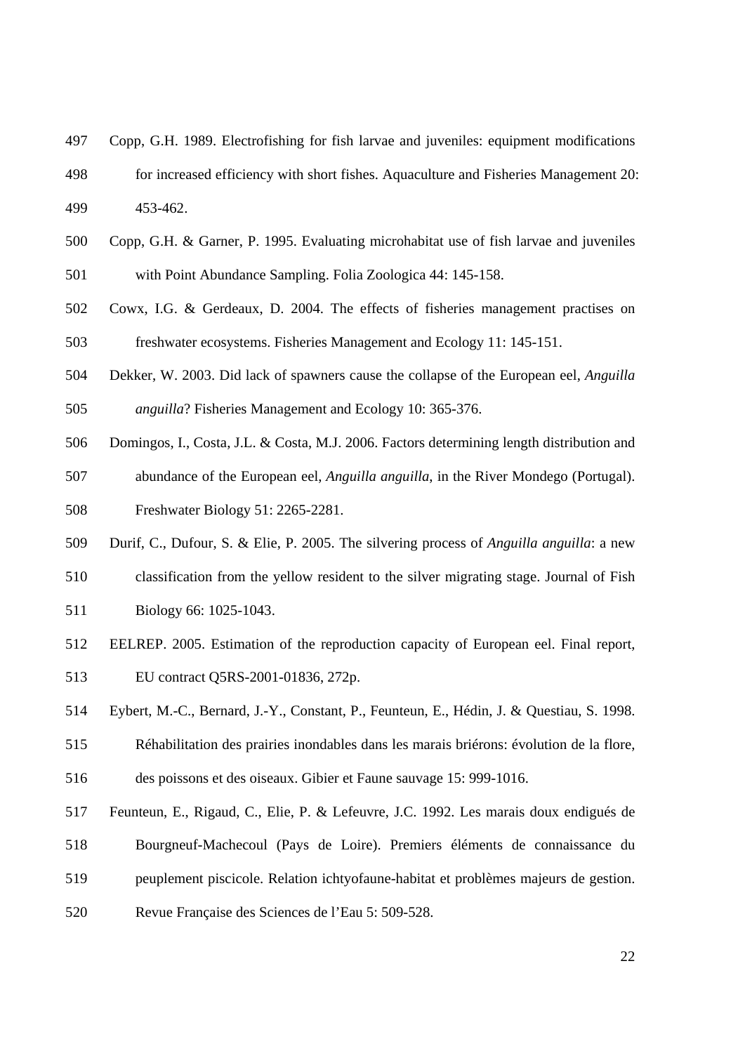- 497 Copp, G.H. 1989. Electrofishing for fish larvae and juveniles: equipment modifications
- 498 for increased efficiency with short fishes. Aquaculture and Fisheries Management 20: 499 453-462.
- 500 Copp, G.H. & Garner, P. 1995. Evaluating microhabitat use of fish larvae and juveniles 501 with Point Abundance Sampling. Folia Zoologica 44: 145-158.
- 502 Cowx, I.G. & Gerdeaux, D. 2004. The effects of fisheries management practises on 503 freshwater ecosystems. Fisheries Management and Ecology 11: 145-151.
- 504 Dekker, W. 2003. Did lack of spawners cause the collapse of the European eel, *Anguilla*  505 *anguilla*? Fisheries Management and Ecology 10: 365-376.
- 506 Domingos, I., Costa, J.L. & Costa, M.J. 2006. Factors determining length distribution and
- 507 abundance of the European eel, *Anguilla anguilla*, in the River Mondego (Portugal). 508 Freshwater Biology 51: 2265-2281.
- 509 Durif, C., Dufour, S. & Elie, P. 2005. The silvering process of *Anguilla anguilla*: a new
- 510 classification from the yellow resident to the silver migrating stage. Journal of Fish
- 511 Biology 66: 1025-1043.
- 512 EELREP. 2005. Estimation of the reproduction capacity of European eel. Final report, 513 EU contract Q5RS-2001-01836, 272p.
- 514 Eybert, M.-C., Bernard, J.-Y., Constant, P., Feunteun, E., Hédin, J. & Questiau, S. 1998.
- 515 Réhabilitation des prairies inondables dans les marais briérons: évolution de la flore,
- 516 des poissons et des oiseaux. Gibier et Faune sauvage 15: 999-1016.
- 517 Feunteun, E., Rigaud, C., Elie, P. & Lefeuvre, J.C. 1992. Les marais doux endigués de 518 Bourgneuf-Machecoul (Pays de Loire). Premiers éléments de connaissance du
- 
- 519 peuplement piscicole. Relation ichtyofaune-habitat et problèmes majeurs de gestion.
- 520 Revue Française des Sciences de l'Eau 5: 509-528.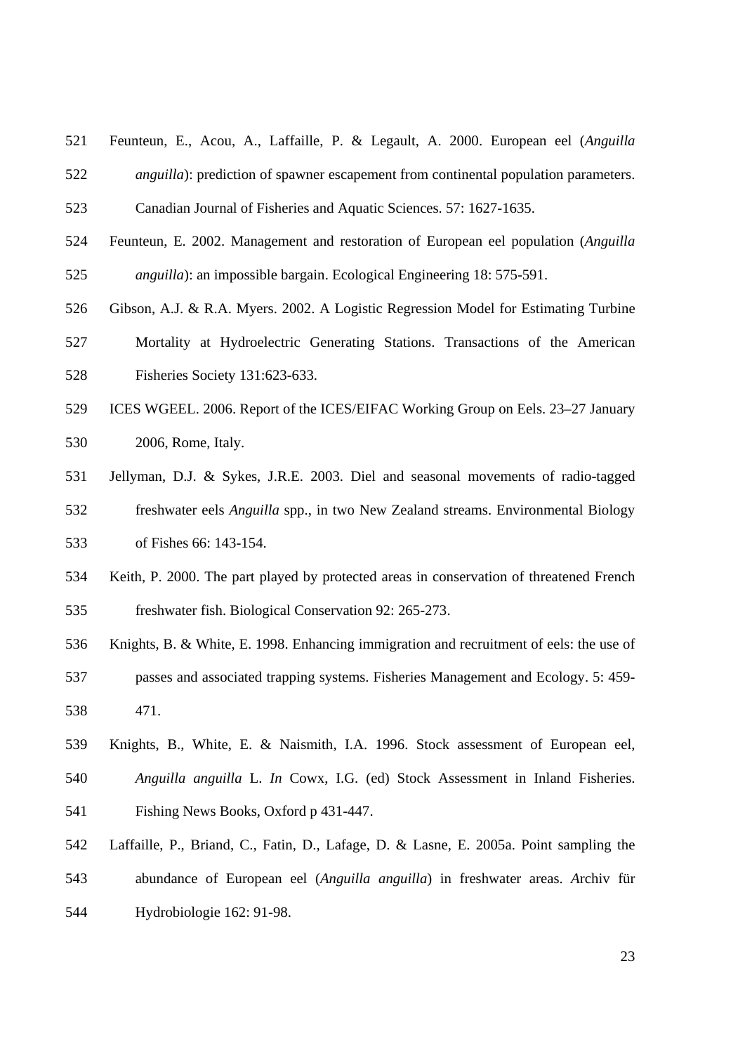521 Feunteun, E., Acou, A., Laffaille, P. & Legault, A. 2000. European eel (*Anguilla*  522 *anguilla*): prediction of spawner escapement from continental population parameters.

523 Canadian Journal of Fisheries and Aquatic Sciences. 57: 1627-1635.

- 524 Feunteun, E. 2002. Management and restoration of European eel population (*Anguilla*  525 *anguilla*): an impossible bargain. Ecological Engineering 18: 575-591.
- 526 Gibson, A.J. & R.A. Myers. 2002. A Logistic Regression Model for Estimating Turbine
- 527 Mortality at Hydroelectric Generating Stations. Transactions of the American 528 Fisheries Society 131:623-633.
- 529 ICES WGEEL. 2006. Report of the ICES/EIFAC Working Group on Eels. 23–27 January 530 2006, Rome, Italy.
- 531 Jellyman, D.J. & Sykes, J.R.E. 2003. Diel and seasonal movements of radio-tagged 532 freshwater eels *Anguilla* spp., in two New Zealand streams. Environmental Biology 533 of Fishes 66: 143-154.
- 534 Keith, P. 2000. The part played by protected areas in conservation of threatened French 535 freshwater fish. Biological Conservation 92: 265-273.
- 536 Knights, B. & White, E. 1998. Enhancing immigration and recruitment of eels: the use of 537 passes and associated trapping systems. Fisheries Management and Ecology. 5: 459- 538 471.
- 539 Knights, B., White, E. & Naismith, I.A. 1996. Stock assessment of European eel, 540 *Anguilla anguilla* L. *In* Cowx, I.G. (ed) Stock Assessment in Inland Fisheries. 541 Fishing News Books, Oxford p 431-447.
- 542 Laffaille, P., Briand, C., Fatin, D., Lafage, D. & Lasne, E. 2005a. Point sampling the 543 abundance of European eel (*Anguilla anguilla*) in freshwater areas. *A*rchiv für 544 Hydrobiologie 162: 91-98.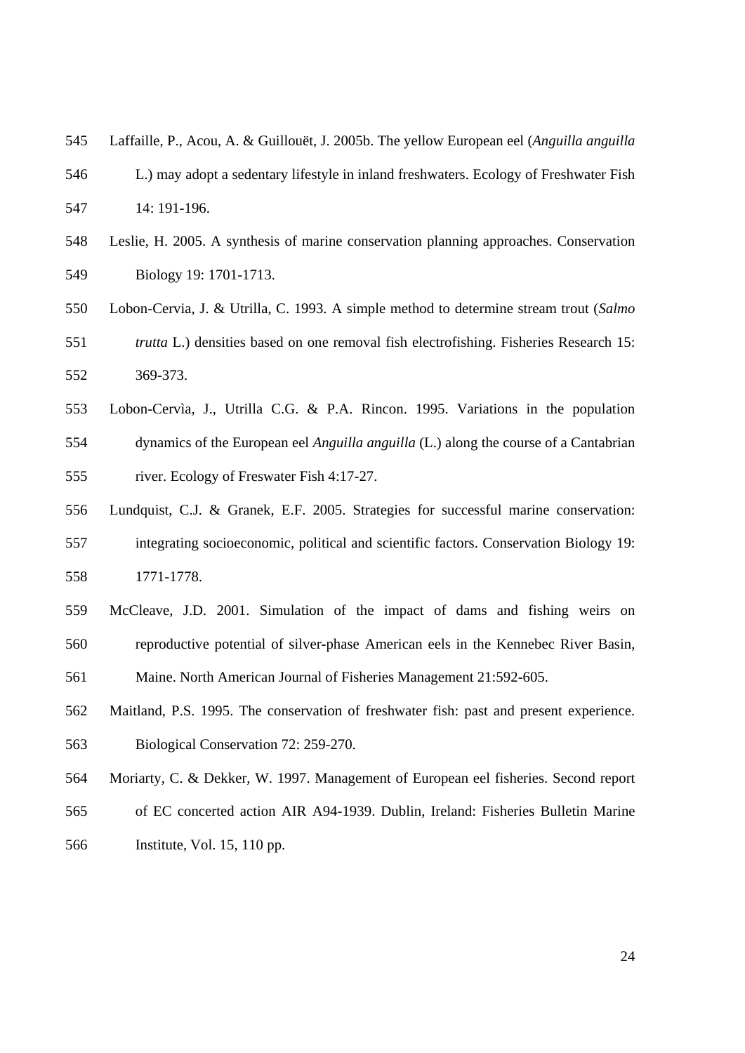- 545 Laffaille, P., Acou, A. & Guillouët, J. 2005b. The yellow European eel (*Anguilla anguilla*
- 546 L.) may adopt a sedentary lifestyle in inland freshwaters. Ecology of Freshwater Fish 547 14: 191-196.
- 548 Leslie, H. 2005. A synthesis of marine conservation planning approaches. Conservation 549 Biology 19: 1701-1713.
- 550 Lobon-Cervia, J. & Utrilla, C. 1993. A simple method to determine stream trout (*Salmo*  551 *trutta* L.) densities based on one removal fish electrofishing. Fisheries Research 15: 552 369-373.
- 553 Lobon-Cervìa, J., Utrilla C.G. & P.A. Rincon. 1995. Variations in the population 554 dynamics of the European eel *Anguilla anguilla* (L.) along the course of a Cantabrian 555 river. Ecology of Freswater Fish 4:17-27.
- 556 Lundquist, C.J. & Granek, E.F. 2005. Strategies for successful marine conservation: 557 integrating socioeconomic, political and scientific factors. Conservation Biology 19: 558 1771-1778.
- 559 McCleave, J.D. 2001. Simulation of the impact of dams and fishing weirs on 560 reproductive potential of silver-phase American eels in the Kennebec River Basin, 561 Maine. North American Journal of Fisheries Management 21:592-605.
- 562 Maitland, P.S. 1995. The conservation of freshwater fish: past and present experience. 563 Biological Conservation 72: 259-270.
- 564 Moriarty, C. & Dekker, W. 1997. Management of European eel fisheries. Second report
- 565 of EC concerted action AIR A94-1939. Dublin, Ireland: Fisheries Bulletin Marine
- 566 Institute, Vol. 15, 110 pp.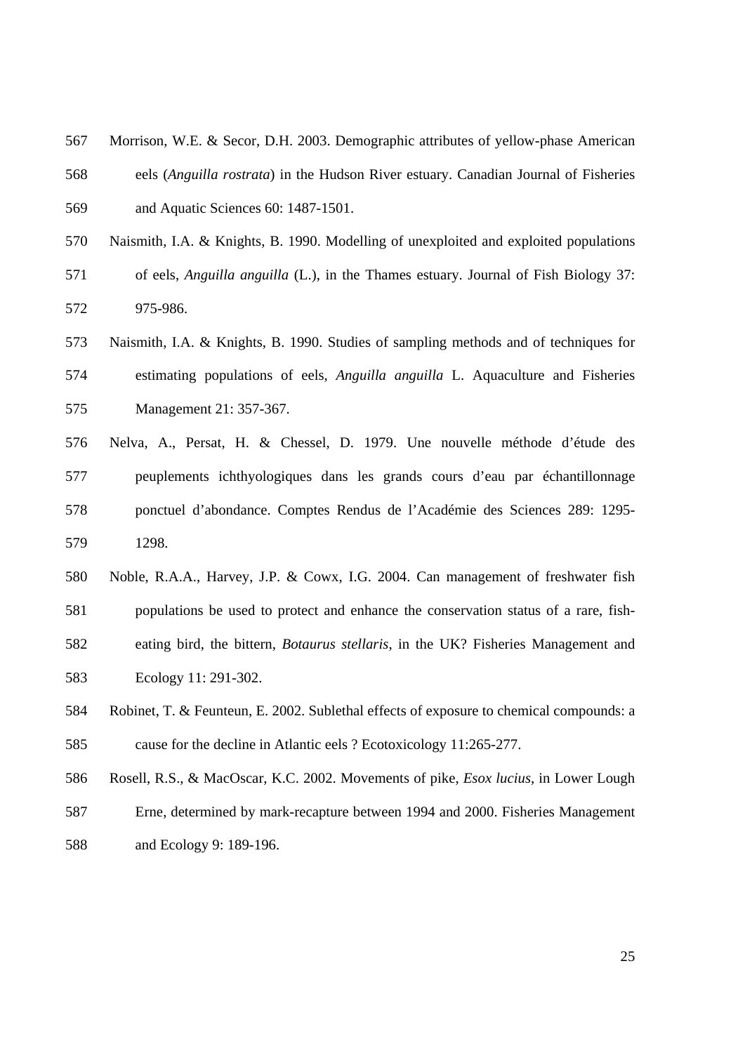- 567 Morrison, W.E. & Secor, D.H. 2003. Demographic attributes of yellow-phase American 568 eels (*Anguilla rostrata*) in the Hudson River estuary. Canadian Journal of Fisheries 569 and Aquatic Sciences 60: 1487-1501.
- 570 Naismith, I.A. & Knights, B. 1990. Modelling of unexploited and exploited populations 571 of eels, *Anguilla anguilla* (L.), in the Thames estuary. Journal of Fish Biology 37: 572 975-986.
- 573 Naismith, I.A. & Knights, B. 1990. Studies of sampling methods and of techniques for 574 estimating populations of eels, *Anguilla anguilla* L. Aquaculture and Fisheries 575 Management 21: 357-367.
- 576 Nelva, A., Persat, H. & Chessel, D. 1979. Une nouvelle méthode d'étude des 577 peuplements ichthyologiques dans les grands cours d'eau par échantillonnage 578 ponctuel d'abondance. Comptes Rendus de l'Académie des Sciences 289: 1295- 579 1298.
- 580 Noble, R.A.A., Harvey, J.P. & Cowx, I.G. 2004. Can management of freshwater fish 581 populations be used to protect and enhance the conservation status of a rare, fish-582 eating bird, the bittern, *Botaurus stellaris*, in the UK? Fisheries Management and 583 Ecology 11: 291-302.
- 584 Robinet, T. & Feunteun, E. 2002. Sublethal effects of exposure to chemical compounds: a 585 cause for the decline in Atlantic eels ? Ecotoxicology 11:265-277.
- 586 Rosell, R.S., & MacOscar, K.C. 2002. Movements of pike, *Esox lucius*, in Lower Lough 587 Erne, determined by mark-recapture between 1994 and 2000. Fisheries Management 588 and Ecology 9: 189-196.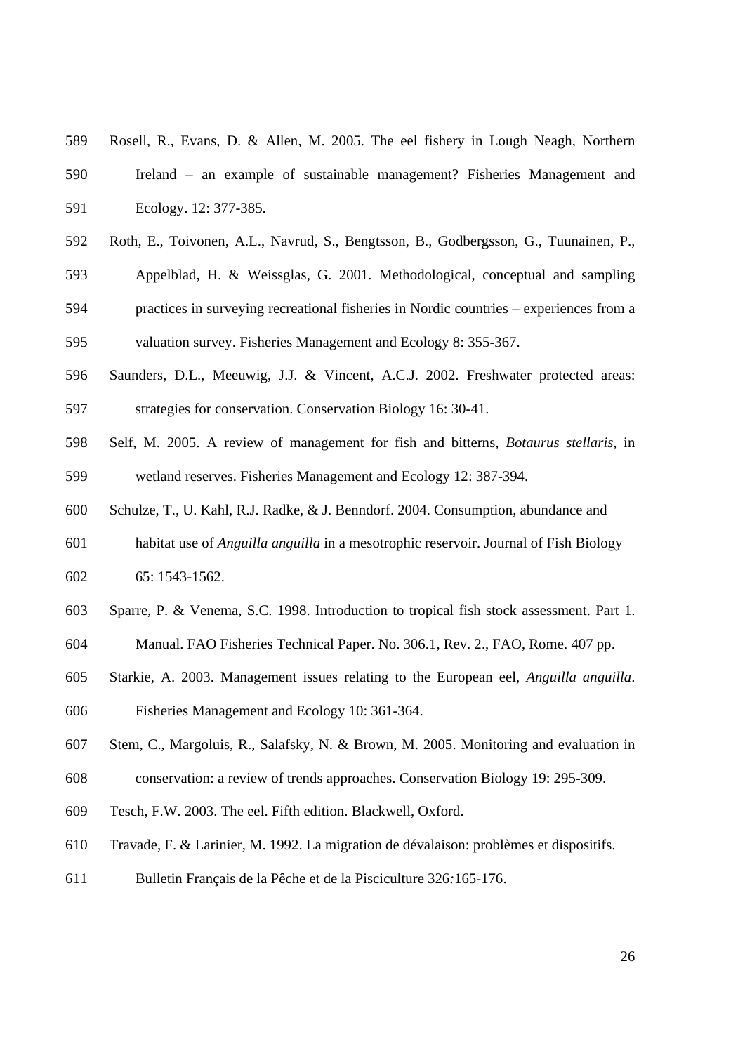- 589 Rosell, R., Evans, D. & Allen, M. 2005. The eel fishery in Lough Neagh, Northern 590 Ireland – an example of sustainable management? Fisheries Management and 591 Ecology. 12: 377-385.
- 592 Roth, E., Toivonen, A.L., Navrud, S., Bengtsson, B., Godbergsson, G., Tuunainen, P.,
- 593 Appelblad, H. & Weissglas, G. 2001. Methodological, conceptual and sampling
- 594 practices in surveying recreational fisheries in Nordic countries experiences from a 595 valuation survey. Fisheries Management and Ecology 8: 355-367.
- 596 Saunders, D.L., Meeuwig, J.J. & Vincent, A.C.J. 2002. Freshwater protected areas: 597 strategies for conservation. Conservation Biology 16: 30-41.
- 598 Self, M. 2005. A review of management for fish and bitterns, *Botaurus stellaris*, in 599 wetland reserves. Fisheries Management and Ecology 12: 387-394.
- 600 Schulze, T., U. Kahl, R.J. Radke, & J. Benndorf. 2004. Consumption, abundance and
- 601 habitat use of *Anguilla anguilla* in a mesotrophic reservoir. Journal of Fish Biology 602 65: 1543-1562.
- 603 Sparre, P. & Venema, S.C. 1998. Introduction to tropical fish stock assessment. Part 1.
- 604 Manual. FAO Fisheries Technical Paper. No. 306.1, Rev. 2., FAO, Rome. 407 pp.
- 605 Starkie, A. 2003. Management issues relating to the European eel, *Anguilla anguilla*. 606 Fisheries Management and Ecology 10: 361-364.
- 607 Stem, C., Margoluis, R., Salafsky, N. & Brown, M. 2005. Monitoring and evaluation in
- 608 conservation: a review of trends approaches. Conservation Biology 19: 295-309.
- 609 Tesch, F.W. 2003. The eel. Fifth edition. Blackwell, Oxford.
- 610 Travade, F. & Larinier, M. 1992. La migration de dévalaison: problèmes et dispositifs.
- 611 Bulletin Français de la Pêche et de la Pisciculture 326*:*165-176.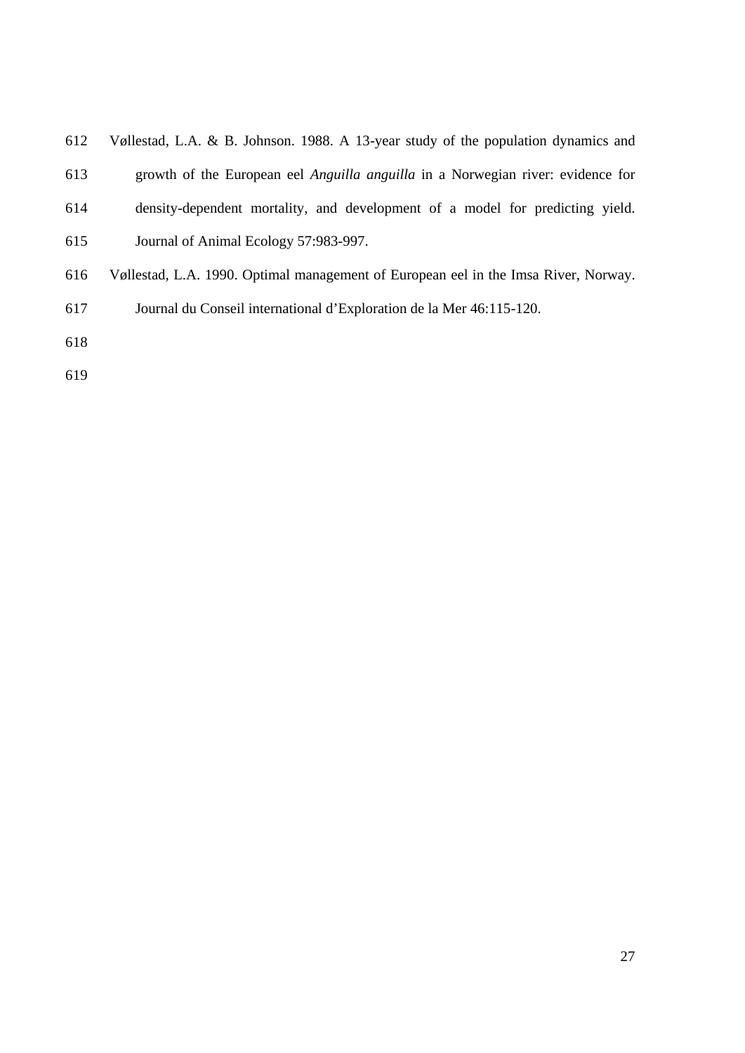| 612 | Vøllestad, L.A. & B. Johnson. 1988. A 13-year study of the population dynamics and     |
|-----|----------------------------------------------------------------------------------------|
| 613 | growth of the European eel <i>Anguilla anguilla</i> in a Norwegian river: evidence for |

- 614 density-dependent mortality, and development of a model for predicting yield.
- 615 Journal of Animal Ecology 57:983-997.
- 616 Vøllestad, L.A. 1990. Optimal management of European eel in the Imsa River, Norway.
- 617 Journal du Conseil international d'Exploration de la Mer 46:115-120.
- 618
- 619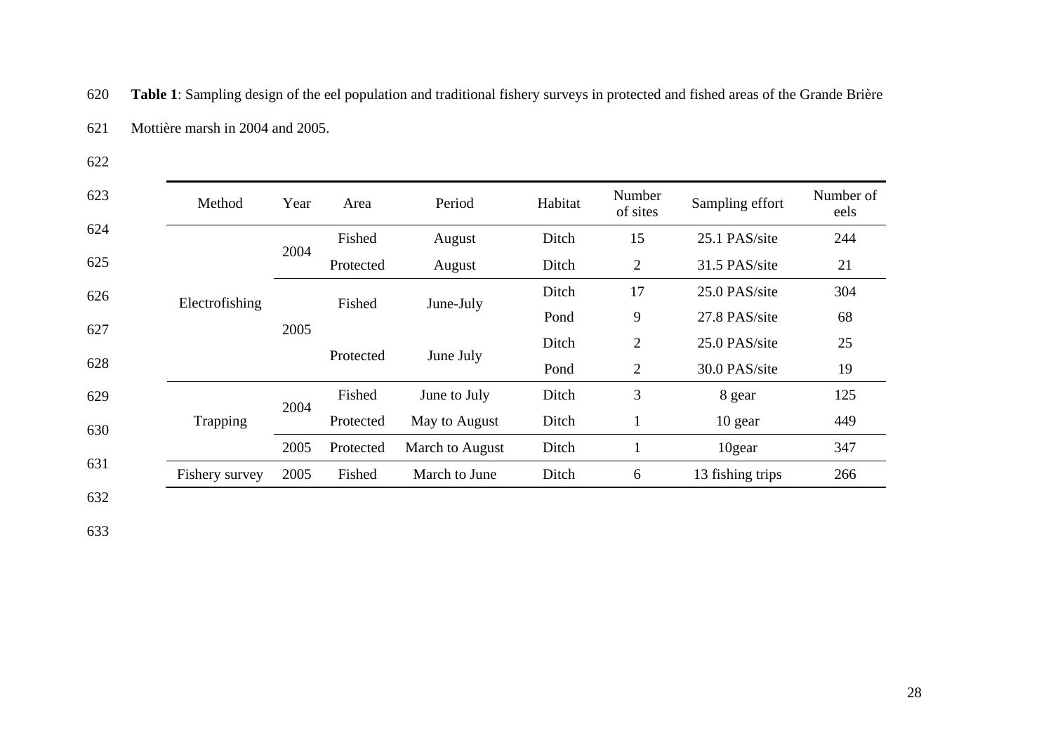620 **Table 1**: Sampling design of the eel population and traditional fishery surveys in protected and fished areas of the Grande Brière

| 621 |  | Mottière marsh in 2004 and 2005. |  |
|-----|--|----------------------------------|--|
|-----|--|----------------------------------|--|

622

| 623 | Method         | Year | Area      | Period          | Habitat | Number<br>of sites | Sampling effort  | Number of<br>eels |
|-----|----------------|------|-----------|-----------------|---------|--------------------|------------------|-------------------|
| 624 |                |      | Fished    | August          | Ditch   | 15                 | 25.1 PAS/site    | 244               |
| 625 |                | 2004 | Protected | August          | Ditch   | $\overline{2}$     | 31.5 PAS/site    | 21                |
| 626 | Electrofishing | 2005 | Fished    | June-July       | Ditch   | 17                 | 25.0 PAS/site    | 304               |
| 627 |                |      |           |                 | Pond    | 9                  | 27.8 PAS/site    | 68                |
|     |                |      | Protected | June July       | Ditch   | $\overline{2}$     | 25.0 PAS/site    | 25                |
| 628 |                |      |           |                 | Pond    | $\overline{2}$     | 30.0 PAS/site    | 19                |
| 629 |                |      | Fished    | June to July    | Ditch   | 3                  | 8 gear           | 125               |
| 630 | Trapping       |      | Protected | May to August   | Ditch   | $\bf{I}$           | 10 gear          | 449               |
|     |                | 2005 | Protected | March to August | Ditch   |                    | 10gear           | 347               |
|     | Fishery survey | 2005 | Fished    | March to June   | Ditch   | 6                  | 13 fishing trips | 266               |
| 631 |                | 2004 |           |                 |         |                    |                  |                   |

632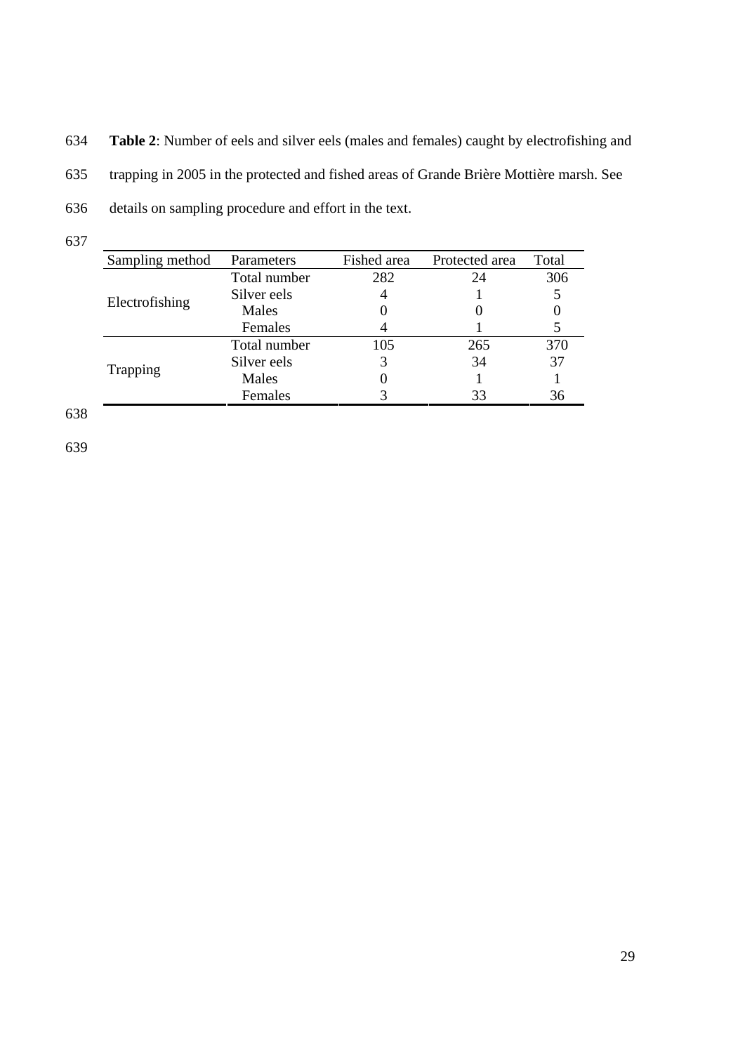634 **Table 2**: Number of eels and silver eels (males and females) caught by electrofishing and

635 trapping in 2005 in the protected and fished areas of Grande Brière Mottière marsh. See

- 636 details on sampling procedure and effort in the text.
- 637

| Sampling method | Parameters   | Fished area | Protected area | Total |
|-----------------|--------------|-------------|----------------|-------|
|                 | Total number | 282         | 24             | 306   |
| Electrofishing  | Silver eels  |             |                |       |
|                 | Males        |             |                |       |
|                 | Females      |             |                |       |
|                 | Total number | 105         | 265            | 370   |
| Trapping        | Silver eels  |             | 34             | 37    |
|                 | Males        |             |                |       |
|                 | Females      |             | 33             | 36    |

638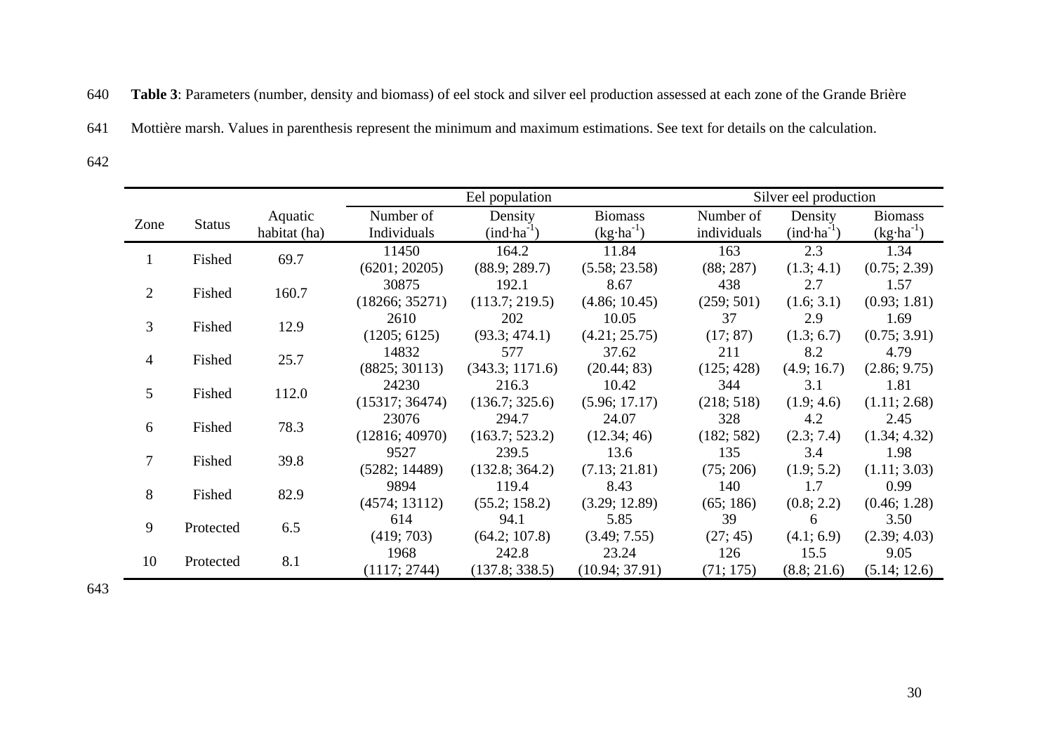640 **Table 3**: Parameters (number, density and biomass) of eel stock and silver eel production assessed at each zone of the Grande Brière

641 Mottière marsh. Values in parenthesis represent the minimum and maximum estimations. See text for details on the calculation.

642

|             |               |              | Eel population |                 |                | Silver eel production |              |                      |  |
|-------------|---------------|--------------|----------------|-----------------|----------------|-----------------------|--------------|----------------------|--|
| Zone        | <b>Status</b> | Aquatic      | Number of      | Density         | <b>Biomass</b> | Number of             | Density      | <b>Biomass</b>       |  |
|             |               | habitat (ha) | Individuals    | $(ind·ha-1)$    | $(kg·ha-1)$    | individuals           | $(ind·ha-1)$ | $(kg \cdot ha^{-1})$ |  |
| 1           | Fished        | 69.7         | 11450          | 164.2           | 11.84          | 163                   | 2.3          | 1.34                 |  |
|             |               |              | (6201; 20205)  | (88.9; 289.7)   | (5.58; 23.58)  | (88; 287)             | (1.3; 4.1)   | (0.75; 2.39)         |  |
| 2           | Fished        | 160.7        | 30875          | 192.1           | 8.67           | 438                   | 2.7          | 1.57                 |  |
|             |               |              | (18266; 35271) | (113.7; 219.5)  | (4.86; 10.45)  | (259; 501)            | (1.6; 3.1)   | (0.93; 1.81)         |  |
| 3           | Fished        |              | 2610           | 202             | 10.05          | 37                    | 2.9          | 1.69                 |  |
|             |               | 12.9         | (1205; 6125)   | (93.3; 474.1)   | (4.21; 25.75)  | (17; 87)              | (1.3; 6.7)   | (0.75; 3.91)         |  |
| 4           | Fished        | 25.7         | 14832          | 577             | 37.62          | 211                   | 8.2          | 4.79                 |  |
|             |               |              | (8825; 30113)  | (343.3; 1171.6) | (20.44; 83)    | (125; 428)            | (4.9; 16.7)  | (2.86; 9.75)         |  |
| $5^{\circ}$ | Fished        | 112.0        | 24230          | 216.3           | 10.42          | 344                   | 3.1          | 1.81                 |  |
|             |               |              | (15317; 36474) | (136.7; 325.6)  | (5.96; 17.17)  | (218; 518)            | (1.9; 4.6)   | (1.11; 2.68)         |  |
| 6           | Fished        | 78.3         | 23076          | 294.7           | 24.07          | 328                   | 4.2          | 2.45                 |  |
|             |               |              | (12816; 40970) | (163.7; 523.2)  | (12.34; 46)    | (182; 582)            | (2.3; 7.4)   | (1.34; 4.32)         |  |
| $\tau$      | Fished        | 39.8         | 9527           | 239.5           | 13.6           | 135                   | 3.4          | 1.98                 |  |
|             |               |              | (5282; 14489)  | (132.8; 364.2)  | (7.13; 21.81)  | (75; 206)             | (1.9; 5.2)   | (1.11; 3.03)         |  |
| 8           | Fished        | 82.9         | 9894           | 119.4           | 8.43           | 140                   | 1.7          | 0.99                 |  |
|             |               |              | (4574; 13112)  | (55.2; 158.2)   | (3.29; 12.89)  | (65; 186)             | (0.8; 2.2)   | (0.46; 1.28)         |  |
| 9           | Protected     | 6.5          | 614            | 94.1            | 5.85           | 39                    | 6            | 3.50                 |  |
|             |               |              | (419; 703)     | (64.2; 107.8)   | (3.49; 7.55)   | (27; 45)              | (4.1; 6.9)   | (2.39; 4.03)         |  |
| 10          | Protected     | 8.1          | 1968           | 242.8           | 23.24          | 126                   | 15.5         | 9.05                 |  |
|             |               |              | (1117; 2744)   | (137.8; 338.5)  | (10.94; 37.91) | (71; 175)             | (8.8; 21.6)  | (5.14; 12.6)         |  |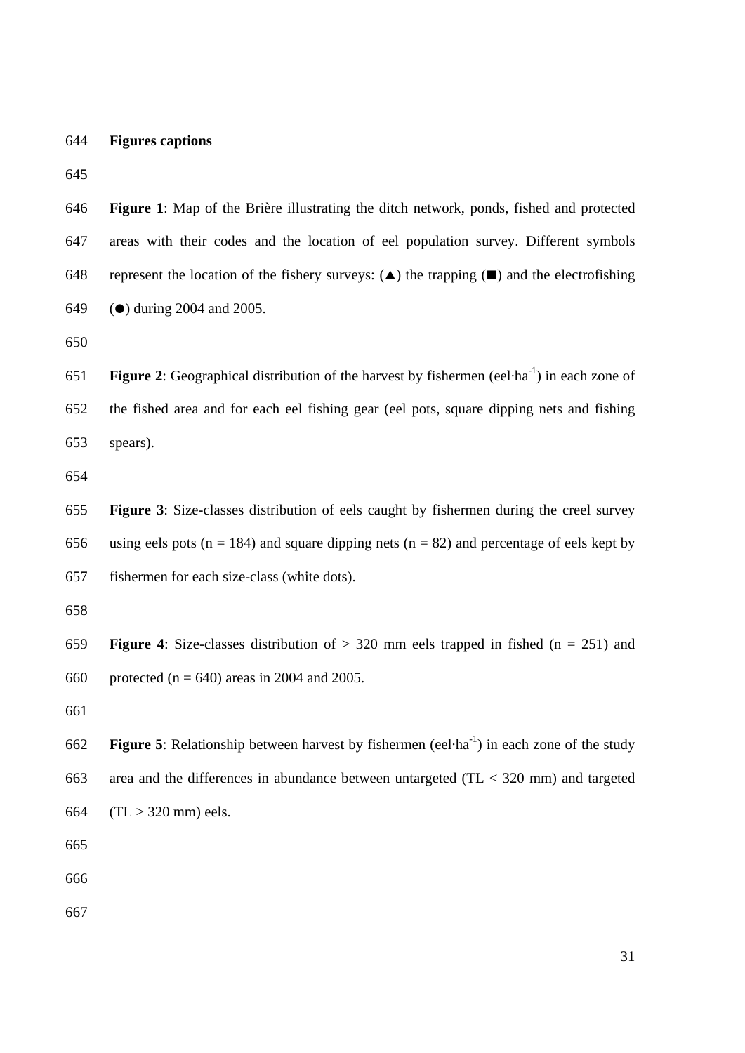644 **Figures captions** 

645

646 **Figure 1**: Map of the Brière illustrating the ditch network, ponds, fished and protected 647 areas with their codes and the location of eel population survey. Different symbols 648 represent the location of the fishery surveys:  $(\triangle)$  the trapping  $(\square)$  and the electrofishing 649 ( $\bullet$ ) during 2004 and 2005.

650

**Figure 2:** Geographical distribution of the harvest by fishermen (eel·ha<sup>-1</sup>) in each zone of 652 the fished area and for each eel fishing gear (eel pots, square dipping nets and fishing 653 spears).

654

655 **Figure 3**: Size-classes distribution of eels caught by fishermen during the creel survey 656 using eels pots ( $n = 184$ ) and square dipping nets ( $n = 82$ ) and percentage of eels kept by 657 fishermen for each size-class (white dots).

658

659 **Figure 4**: Size-classes distribution of > 320 mm eels trapped in fished (n = 251) and 660 protected ( $n = 640$ ) areas in 2004 and 2005.

661

**Figure 5**: Relationship between harvest by fishermen (eel·ha<sup>-1</sup>) in each zone of the study 663 area and the differences in abundance between untargeted (TL < 320 mm) and targeted 664 (TL > 320 mm) eels.

665

666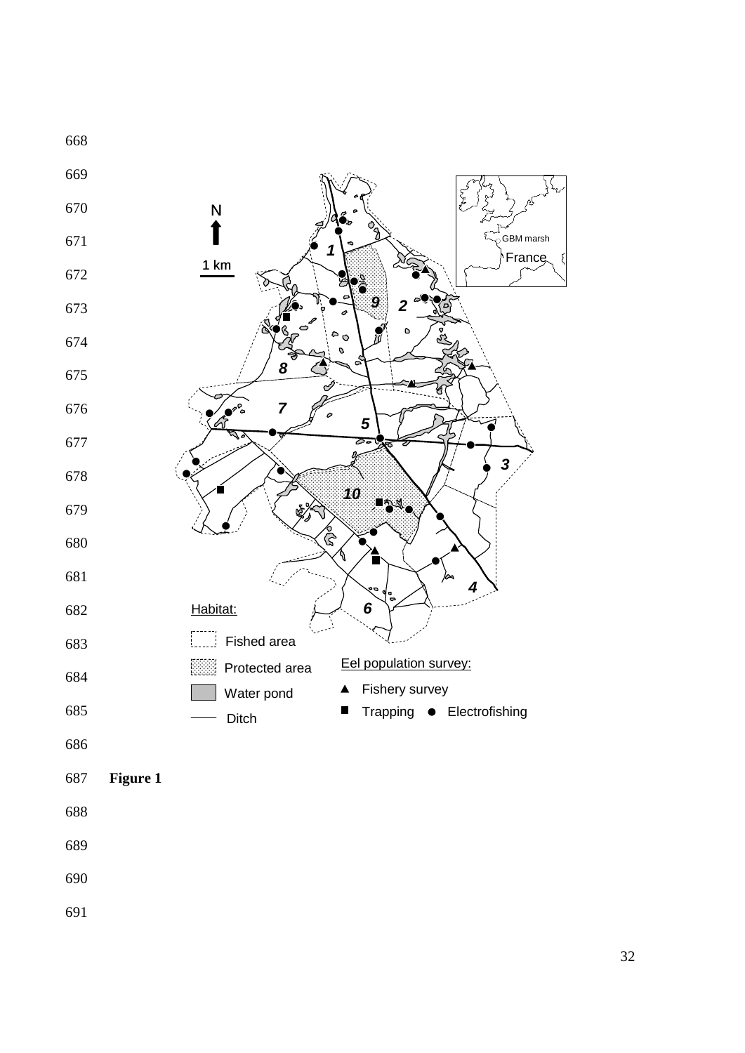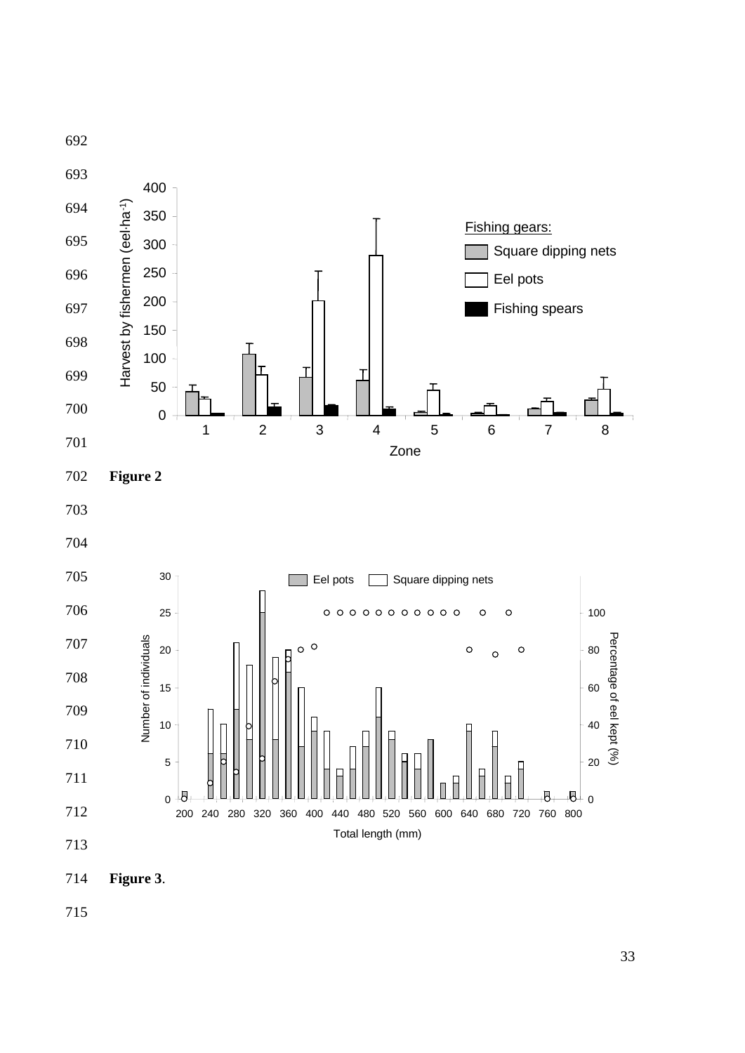